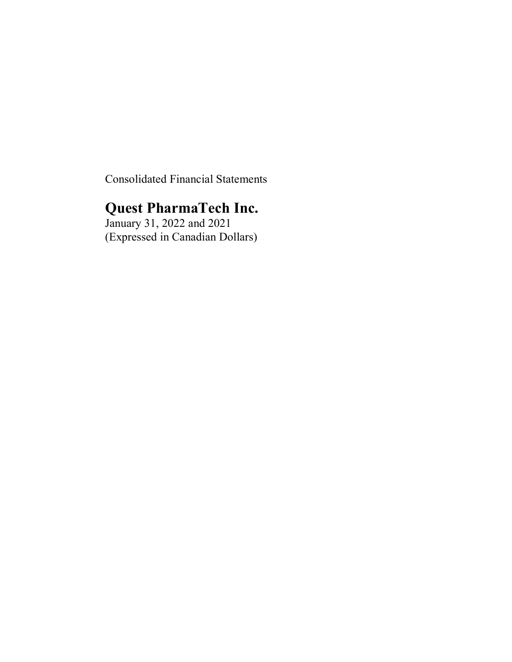Consolidated Financial Statements

# **Quest PharmaTech Inc.**

January 31, 2022 and 2021 (Expressed in Canadian Dollars)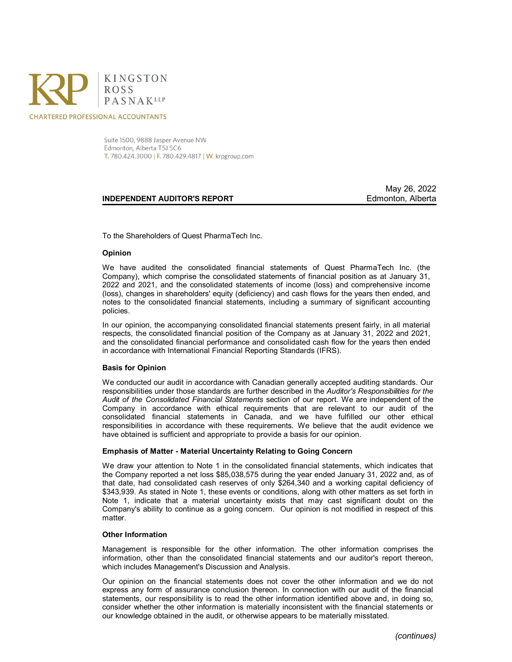

**CHARTERED PROFESSIONAL ACCOUNTANTS** 

Suite 1500, 9888 Jasper Avenue NW Edmonton, Alberta T5J 5C6 T. 780.424.3000 | F. 780.429.4817 | W. krpgroup.com

#### **INDEPENDENT AUDITOR'S REPORT AUDITOR'S REPORT**

May 26, 2022

To the Shareholders of Quest PharmaTech Inc.

#### **Opinion**

We have audited the consolidated financial statements of Quest PharmaTech Inc. (the Company), which comprise the consolidated statements of financial position as at January 31, 2022 and 2021, and the consolidated statements of income (loss) and comprehensive income (loss), changes in shareholders' equity (deficiency) and cash flows for the years then ended, and notes to the consolidated financial statements, including a summary of significant accounting policies.

In our opinion, the accompanying consolidated financial statements present fairly, in all material respects, the consolidated financial position of the Company as at January 31, 2022 and 2021, and the consolidated financial performance and consolidated cash flow for the years then ended in accordance with International Financial Reporting Standards (IFRS).

#### **Basis for Opinion**

We conducted our audit in accordance with Canadian generally accepted auditing standards. Our responsibilities under those standards are further described in the *Auditor's Responsibilities for the Audit of the Consolidated Financial Statements* section of our report. We are independent of the Company in accordance with ethical requirements that are relevant to our audit of the consolidated financial statements in Canada, and we have fulfilled our other ethical responsibilities in accordance with these requirements. We believe that the audit evidence we have obtained is sufficient and appropriate to provide a basis for our opinion.

#### **Emphasis of Matter - Material Uncertainty Relating to Going Concern**

We draw your attention to Note 1 in the consolidated financial statements, which indicates that the Company reported a net loss \$85,038,575 during the year ended January 31, 2022 and, as of that date, had consolidated cash reserves of only \$264,340 and a working capital deficiency of \$343,939. As stated in Note 1, these events or conditions, along with other matters as set forth in Note 1, indicate that a material uncertainty exists that may cast significant doubt on the Company's ability to continue as a going concern. Our opinion is not modified in respect of this matter.

#### **Other Information**

Management is responsible for the other information. The other information comprises the information, other than the consolidated financial statements and our auditor's report thereon, which includes Management's Discussion and Analysis.

Our opinion on the financial statements does not cover the other information and we do not express any form of assurance conclusion thereon. In connection with our audit of the financial statements, our responsibility is to read the other information identified above and, in doing so, consider whether the other information is materially inconsistent with the financial statements or our knowledge obtained in the audit, or otherwise appears to be materially misstated.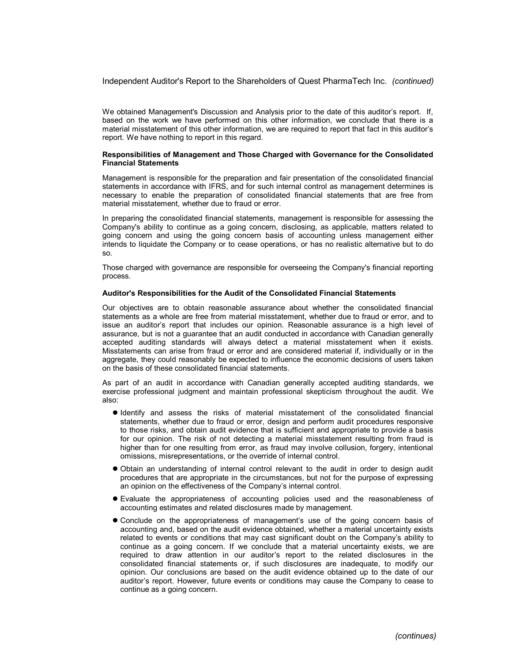Independent Auditor's Report to the Shareholders of Quest PharmaTech Inc. *(continued)*

We obtained Management's Discussion and Analysis prior to the date of this auditor's report. If, based on the work we have performed on this other information, we conclude that there is a material misstatement of this other information, we are required to report that fact in this auditor's report. We have nothing to report in this regard.

#### **Responsibilities of Management and Those Charged with Governance for the Consolidated Financial Statements**

Management is responsible for the preparation and fair presentation of the consolidated financial statements in accordance with IFRS, and for such internal control as management determines is necessary to enable the preparation of consolidated financial statements that are free from material misstatement, whether due to fraud or error.

In preparing the consolidated financial statements, management is responsible for assessing the Company's ability to continue as a going concern, disclosing, as applicable, matters related to going concern and using the going concern basis of accounting unless management either intends to liquidate the Company or to cease operations, or has no realistic alternative but to do so.

Those charged with governance are responsible for overseeing the Company's financial reporting process.

#### **Auditor's Responsibilities for the Audit of the Consolidated Financial Statements**

Our objectives are to obtain reasonable assurance about whether the consolidated financial statements as a whole are free from material misstatement, whether due to fraud or error, and to issue an auditor's report that includes our opinion. Reasonable assurance is a high level of assurance, but is not a guarantee that an audit conducted in accordance with Canadian generally accepted auditing standards will always detect a material misstatement when it exists. Misstatements can arise from fraud or error and are considered material if, individually or in the aggregate, they could reasonably be expected to influence the economic decisions of users taken on the basis of these consolidated financial statements.

As part of an audit in accordance with Canadian generally accepted auditing standards, we exercise professional judgment and maintain professional skepticism throughout the audit. We also:

- $\bullet$  Identify and assess the risks of material misstatement of the consolidated financial statements, whether due to fraud or error, design and perform audit procedures responsive to those risks, and obtain audit evidence that is sufficient and appropriate to provide a basis for our opinion. The risk of not detecting a material misstatement resulting from fraud is higher than for one resulting from error, as fraud may involve collusion, forgery, intentional omissions, misrepresentations, or the override of internal control.
- l Obtain an understanding of internal control relevant to the audit in order to design audit procedures that are appropriate in the circumstances, but not for the purpose of expressing an opinion on the effectiveness of the Company's internal control.
- l Evaluate the appropriateness of accounting policies used and the reasonableness of accounting estimates and related disclosures made by management.
- l Conclude on the appropriateness of management's use of the going concern basis of accounting and, based on the audit evidence obtained, whether a material uncertainty exists related to events or conditions that may cast significant doubt on the Company's ability to continue as a going concern. If we conclude that a material uncertainty exists, we are required to draw attention in our auditor's report to the related disclosures in the consolidated financial statements or, if such disclosures are inadequate, to modify our opinion. Our conclusions are based on the audit evidence obtained up to the date of our auditor's report. However, future events or conditions may cause the Company to cease to continue as a going concern.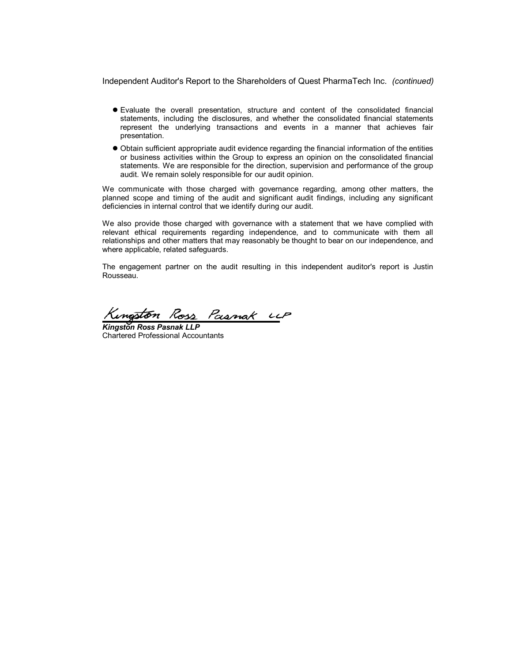Independent Auditor's Report to the Shareholders of Quest PharmaTech Inc. *(continued)*

- l Evaluate the overall presentation, structure and content of the consolidated financial statements, including the disclosures, and whether the consolidated financial statements represent the underlying transactions and events in a manner that achieves fair presentation.
- l Obtain sufficient appropriate audit evidence regarding the financial information of the entities or business activities within the Group to express an opinion on the consolidated financial statements. We are responsible for the direction, supervision and performance of the group audit. We remain solely responsible for our audit opinion.

We communicate with those charged with governance regarding, among other matters, the planned scope and timing of the audit and significant audit findings, including any significant deficiencies in internal control that we identify during our audit.

We also provide those charged with governance with a statement that we have complied with relevant ethical requirements regarding independence, and to communicate with them all relationships and other matters that may reasonably be thought to bear on our independence, and where applicable, related safeguards.

The engagement partner on the audit resulting in this independent auditor's report is Justin Rousseau.

Kingston Ross Pasnak UP

*Kingston Ross Pasnak LLP* Chartered Professional Accountants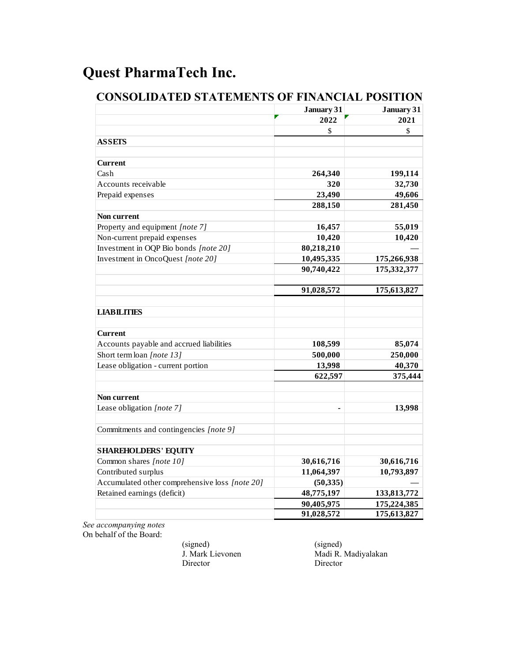|                                                | January 31 | January 31  |
|------------------------------------------------|------------|-------------|
|                                                | 2022       | 2021        |
|                                                | \$         | \$          |
| <b>ASSETS</b>                                  |            |             |
|                                                |            |             |
| <b>Current</b>                                 |            |             |
| Cash                                           | 264,340    | 199,114     |
| Accounts receivable                            | 320        | 32,730      |
| Prepaid expenses                               | 23,490     | 49,606      |
|                                                | 288,150    | 281,450     |
| Non current                                    |            |             |
| Property and equipment [note 7]                | 16,457     | 55,019      |
| Non-current prepaid expenses                   | 10,420     | 10,420      |
| Investment in OQP Bio bonds [note 20]          | 80,218,210 |             |
| Investment in OncoQuest [note 20]              | 10,495,335 | 175,266,938 |
|                                                | 90,740,422 | 175,332,377 |
|                                                |            |             |
|                                                | 91,028,572 | 175,613,827 |
|                                                |            |             |
| <b>LIABILITIES</b>                             |            |             |
|                                                |            |             |
| <b>Current</b>                                 |            |             |
| Accounts payable and accrued liabilities       | 108,599    | 85,074      |
| Short term loan [note 13]                      | 500,000    | 250,000     |
| Lease obligation - current portion             | 13,998     | 40,370      |
|                                                | 622,597    | 375,444     |
|                                                |            |             |
| Non current                                    |            |             |
| Lease obligation [note 7]                      |            | 13,998      |
|                                                |            |             |
| Commitments and contingencies [note 9]         |            |             |
|                                                |            |             |
| <b>SHAREHOLDERS' EQUITY</b>                    |            |             |
| Common shares [note 10]                        | 30,616,716 | 30,616,716  |
| Contributed surplus                            | 11,064,397 | 10,793,897  |
| Accumulated other comprehensive loss [note 20] | (50, 335)  |             |
| Retained earnings (deficit)                    | 48,775,197 | 133,813,772 |
|                                                | 90,405,975 | 175,224,385 |
|                                                | 91,028,572 | 175,613,827 |

# **CONSOLIDATED STATEMENTS OF FINANCIAL POSITION**

*See accompanying notes* On behalf of the Board:

> (signed) (signed)<br>
> J. Mark Lievonen Madi R. Director Director

Madi R. Madiyalakan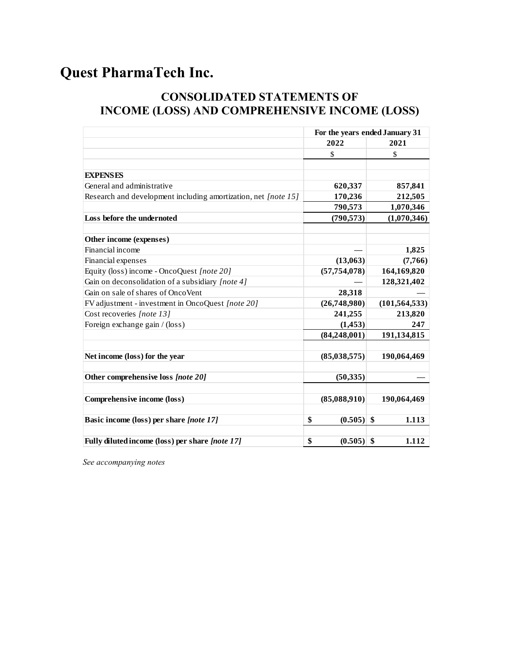# **CONSOLIDATED STATEMENTS OF INCOME (LOSS) AND COMPREHENSIVE INCOME (LOSS)**

|                                                                | For the years ended January 31 |                 |  |
|----------------------------------------------------------------|--------------------------------|-----------------|--|
|                                                                | 2022                           | 2021            |  |
|                                                                | \$                             | \$              |  |
|                                                                |                                |                 |  |
| <b>EXPENSES</b>                                                |                                |                 |  |
| General and administrative                                     | 620,337                        | 857,841         |  |
| Research and development including amortization, net [note 15] | 170,236                        | 212,505         |  |
|                                                                | 790,573                        | 1,070,346       |  |
| Loss before the undernoted                                     | (790, 573)                     | (1,070,346)     |  |
|                                                                |                                |                 |  |
| Other income (expenses)                                        |                                |                 |  |
| Financial income                                               |                                | 1,825           |  |
| Financial expenses                                             | (13,063)                       | (7,766)         |  |
| Equity (loss) income - OncoQuest [note 20]                     | (57, 754, 078)                 | 164,169,820     |  |
| Gain on deconsolidation of a subsidiary [note 4]               |                                | 128,321,402     |  |
| Gain on sale of shares of OncoVent                             | 28,318                         |                 |  |
| FV adjustment - investment in OncoQuest [note 20]              | (26,748,980)                   | (101, 564, 533) |  |
| Cost recoveries [note 13]                                      | 241,255                        | 213,820         |  |
| Foreign exchange gain / (loss)                                 | (1, 453)                       | 247             |  |
|                                                                | (84, 248, 001)                 | 191,134,815     |  |
| Net income (loss) for the year                                 | (85,038,575)                   | 190,064,469     |  |
| Other comprehensive loss [note 20]                             | (50, 335)                      |                 |  |
| Comprehensive income (loss)                                    | (85,088,910)                   | 190,064,469     |  |
| Basic income (loss) per share [note 17]                        | \$<br>$(0.505)$ \$             | 1.113           |  |
|                                                                |                                |                 |  |
| Fully diluted income (loss) per share [note 17]                | \$<br>$(0.505)$ \$             | 1.112           |  |

*See accompanying notes*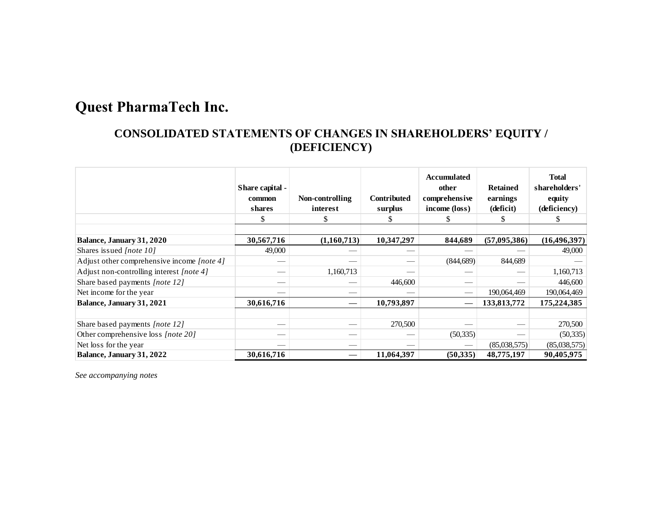# **CONSOLIDATED STATEMENTS OF CHANGES IN SHAREHOLDERS' EQUITY / (DEFICIENCY)**

|                                            | Share capital -<br>common<br>shares<br>\$ | Non-controlling<br>interest<br>S | <b>Contributed</b><br>surplus<br>J. | Accumulated<br>other<br>comprehensive<br>income (loss) | <b>Retained</b><br>earnings<br>(deficit)<br>ъ | <b>Total</b><br>shareholders'<br>equity<br>(deficiency) |
|--------------------------------------------|-------------------------------------------|----------------------------------|-------------------------------------|--------------------------------------------------------|-----------------------------------------------|---------------------------------------------------------|
| Balance, January 31, 2020                  | 30,567,716                                | (1,160,713)                      | 10,347,297                          | 844,689                                                | (57, 095, 386)                                | (16, 496, 397)                                          |
| Shares issued <i>[note 10]</i>             | 49,000                                    |                                  |                                     |                                                        |                                               | 49,000                                                  |
| Adjust other comprehensive income [note 4] |                                           |                                  |                                     | (844, 689)                                             | 844,689                                       |                                                         |
| Adjust non-controlling interest [note 4]   | __                                        | 1,160,713                        |                                     |                                                        |                                               | 1,160,713                                               |
| Share based payments [note 12]             |                                           |                                  | 446,600                             |                                                        |                                               | 446,600                                                 |
| Net income for the year.                   |                                           |                                  |                                     |                                                        | 190,064,469                                   | 190,064,469                                             |
| Balance, January 31, 2021                  | 30,616,716                                |                                  | 10,793,897                          |                                                        | 133,813,772                                   | 175,224,385                                             |
|                                            |                                           |                                  |                                     |                                                        |                                               |                                                         |
| Share based payments [note 12]             | __                                        |                                  | 270,500                             |                                                        |                                               | 270,500                                                 |
| Other comprehensive loss [note 20]         | _                                         |                                  |                                     | (50, 335)                                              |                                               | (50, 335)                                               |
| Net loss for the year                      |                                           |                                  |                                     |                                                        | (85,038,575)                                  | (85,038,575)                                            |
| Balance, January 31, 2022                  | 30,616,716                                |                                  | 11,064,397                          | (50,335)                                               | 48,775,197                                    | 90,405,975                                              |

*See accompanying notes*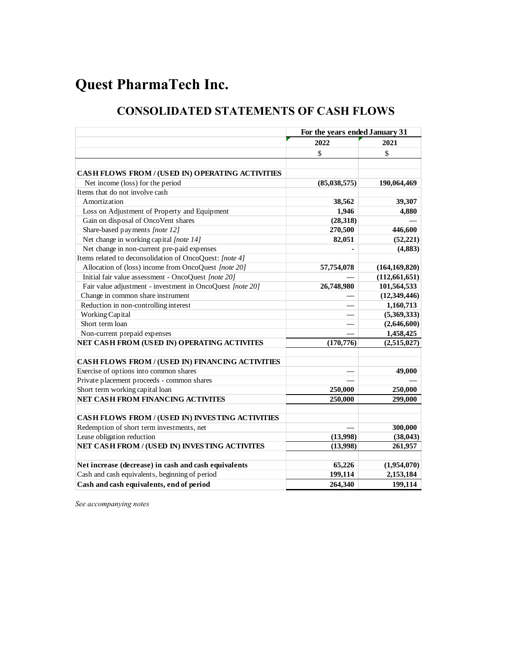# **CONSOLIDATED STATEMENTS OF CASH FLOWS**

| 2022<br>2021<br>\$<br>\$<br>CASH FLOWS FROM / (USED IN) OPERATING ACTIVITIES<br>Net income (loss) for the period<br>(85,038,575)<br>190,064,469<br>Items that do not involve cash<br>Amortization<br>38,562<br>39,307<br>Loss on Adjustment of Property and Equipment<br>1,946<br>4,880<br>Gain on disposal of OncoVent shares<br>(28,318)<br>446,600<br>Share-based payments [note 12]<br>270,500<br>Net change in working capital [note 14]<br>(52, 221)<br>82,051<br>Net change in non-current pre-paid expenses<br>(4, 883)<br>Items related to deconsolidation of OncoQuest: [note 4]<br>Allocation of (loss) income from OncoQuest [note 20]<br>(164, 169, 820)<br>57,754,078<br>Initial fair value assessment - OncoQuest [note 20]<br>(112, 661, 651)<br>26,748,980<br>Fair value adjustment - investment in OncoQuest [note 20]<br>101,564,533<br>Change in common share instrument<br>(12, 349, 446)<br>Reduction in non-controlling interest<br>1,160,713<br>(5,369,333)<br>Working Capital<br>Short term loan<br>(2,646,600)<br>Non-current prepaid expenses<br>1,458,425<br>NET CASH FROM (USED IN) OPERATING ACTIVITES<br>(2,515,027)<br>(170, 776)<br>CASH FLOWS FROM / (USED IN) FINANCING ACTIVITIES<br>Exercise of options into common shares<br>49,000<br>Private placement proceeds - common shares<br>Short term working capital loan<br>250,000<br>250,000<br>NET CASH FROM FINANCING ACTIVITES<br>299,000<br>250,000<br>CASH FLOWS FROM / (USED IN) INVESTING ACTIVITIES<br>Redemption of short term investments, net<br>300,000<br>Lease obligation reduction<br>(13,998)<br>(38, 043)<br>NET CASH FROM / (USED IN) INVESTING ACTIVITES<br>(13,998)<br>261,957<br>Net increase (decrease) in cash and cash equivalents<br>65,226<br>(1,954,070)<br>199,114<br>Cash and cash equivalents, beginning of period<br>2,153,184<br>Cash and cash equivalents, end of period<br>264,340<br>199,114 | For the years ended January 31 |  |  |
|---------------------------------------------------------------------------------------------------------------------------------------------------------------------------------------------------------------------------------------------------------------------------------------------------------------------------------------------------------------------------------------------------------------------------------------------------------------------------------------------------------------------------------------------------------------------------------------------------------------------------------------------------------------------------------------------------------------------------------------------------------------------------------------------------------------------------------------------------------------------------------------------------------------------------------------------------------------------------------------------------------------------------------------------------------------------------------------------------------------------------------------------------------------------------------------------------------------------------------------------------------------------------------------------------------------------------------------------------------------------------------------------------------------------------------------------------------------------------------------------------------------------------------------------------------------------------------------------------------------------------------------------------------------------------------------------------------------------------------------------------------------------------------------------------------------------------------------------------------------------------------------------------------------------|--------------------------------|--|--|
|                                                                                                                                                                                                                                                                                                                                                                                                                                                                                                                                                                                                                                                                                                                                                                                                                                                                                                                                                                                                                                                                                                                                                                                                                                                                                                                                                                                                                                                                                                                                                                                                                                                                                                                                                                                                                                                                                                                     |                                |  |  |
|                                                                                                                                                                                                                                                                                                                                                                                                                                                                                                                                                                                                                                                                                                                                                                                                                                                                                                                                                                                                                                                                                                                                                                                                                                                                                                                                                                                                                                                                                                                                                                                                                                                                                                                                                                                                                                                                                                                     |                                |  |  |
|                                                                                                                                                                                                                                                                                                                                                                                                                                                                                                                                                                                                                                                                                                                                                                                                                                                                                                                                                                                                                                                                                                                                                                                                                                                                                                                                                                                                                                                                                                                                                                                                                                                                                                                                                                                                                                                                                                                     |                                |  |  |
|                                                                                                                                                                                                                                                                                                                                                                                                                                                                                                                                                                                                                                                                                                                                                                                                                                                                                                                                                                                                                                                                                                                                                                                                                                                                                                                                                                                                                                                                                                                                                                                                                                                                                                                                                                                                                                                                                                                     |                                |  |  |
|                                                                                                                                                                                                                                                                                                                                                                                                                                                                                                                                                                                                                                                                                                                                                                                                                                                                                                                                                                                                                                                                                                                                                                                                                                                                                                                                                                                                                                                                                                                                                                                                                                                                                                                                                                                                                                                                                                                     |                                |  |  |
|                                                                                                                                                                                                                                                                                                                                                                                                                                                                                                                                                                                                                                                                                                                                                                                                                                                                                                                                                                                                                                                                                                                                                                                                                                                                                                                                                                                                                                                                                                                                                                                                                                                                                                                                                                                                                                                                                                                     |                                |  |  |
|                                                                                                                                                                                                                                                                                                                                                                                                                                                                                                                                                                                                                                                                                                                                                                                                                                                                                                                                                                                                                                                                                                                                                                                                                                                                                                                                                                                                                                                                                                                                                                                                                                                                                                                                                                                                                                                                                                                     |                                |  |  |
|                                                                                                                                                                                                                                                                                                                                                                                                                                                                                                                                                                                                                                                                                                                                                                                                                                                                                                                                                                                                                                                                                                                                                                                                                                                                                                                                                                                                                                                                                                                                                                                                                                                                                                                                                                                                                                                                                                                     |                                |  |  |
|                                                                                                                                                                                                                                                                                                                                                                                                                                                                                                                                                                                                                                                                                                                                                                                                                                                                                                                                                                                                                                                                                                                                                                                                                                                                                                                                                                                                                                                                                                                                                                                                                                                                                                                                                                                                                                                                                                                     |                                |  |  |
|                                                                                                                                                                                                                                                                                                                                                                                                                                                                                                                                                                                                                                                                                                                                                                                                                                                                                                                                                                                                                                                                                                                                                                                                                                                                                                                                                                                                                                                                                                                                                                                                                                                                                                                                                                                                                                                                                                                     |                                |  |  |
|                                                                                                                                                                                                                                                                                                                                                                                                                                                                                                                                                                                                                                                                                                                                                                                                                                                                                                                                                                                                                                                                                                                                                                                                                                                                                                                                                                                                                                                                                                                                                                                                                                                                                                                                                                                                                                                                                                                     |                                |  |  |
|                                                                                                                                                                                                                                                                                                                                                                                                                                                                                                                                                                                                                                                                                                                                                                                                                                                                                                                                                                                                                                                                                                                                                                                                                                                                                                                                                                                                                                                                                                                                                                                                                                                                                                                                                                                                                                                                                                                     |                                |  |  |
|                                                                                                                                                                                                                                                                                                                                                                                                                                                                                                                                                                                                                                                                                                                                                                                                                                                                                                                                                                                                                                                                                                                                                                                                                                                                                                                                                                                                                                                                                                                                                                                                                                                                                                                                                                                                                                                                                                                     |                                |  |  |
|                                                                                                                                                                                                                                                                                                                                                                                                                                                                                                                                                                                                                                                                                                                                                                                                                                                                                                                                                                                                                                                                                                                                                                                                                                                                                                                                                                                                                                                                                                                                                                                                                                                                                                                                                                                                                                                                                                                     |                                |  |  |
|                                                                                                                                                                                                                                                                                                                                                                                                                                                                                                                                                                                                                                                                                                                                                                                                                                                                                                                                                                                                                                                                                                                                                                                                                                                                                                                                                                                                                                                                                                                                                                                                                                                                                                                                                                                                                                                                                                                     |                                |  |  |
|                                                                                                                                                                                                                                                                                                                                                                                                                                                                                                                                                                                                                                                                                                                                                                                                                                                                                                                                                                                                                                                                                                                                                                                                                                                                                                                                                                                                                                                                                                                                                                                                                                                                                                                                                                                                                                                                                                                     |                                |  |  |
|                                                                                                                                                                                                                                                                                                                                                                                                                                                                                                                                                                                                                                                                                                                                                                                                                                                                                                                                                                                                                                                                                                                                                                                                                                                                                                                                                                                                                                                                                                                                                                                                                                                                                                                                                                                                                                                                                                                     |                                |  |  |
|                                                                                                                                                                                                                                                                                                                                                                                                                                                                                                                                                                                                                                                                                                                                                                                                                                                                                                                                                                                                                                                                                                                                                                                                                                                                                                                                                                                                                                                                                                                                                                                                                                                                                                                                                                                                                                                                                                                     |                                |  |  |
|                                                                                                                                                                                                                                                                                                                                                                                                                                                                                                                                                                                                                                                                                                                                                                                                                                                                                                                                                                                                                                                                                                                                                                                                                                                                                                                                                                                                                                                                                                                                                                                                                                                                                                                                                                                                                                                                                                                     |                                |  |  |
|                                                                                                                                                                                                                                                                                                                                                                                                                                                                                                                                                                                                                                                                                                                                                                                                                                                                                                                                                                                                                                                                                                                                                                                                                                                                                                                                                                                                                                                                                                                                                                                                                                                                                                                                                                                                                                                                                                                     |                                |  |  |
|                                                                                                                                                                                                                                                                                                                                                                                                                                                                                                                                                                                                                                                                                                                                                                                                                                                                                                                                                                                                                                                                                                                                                                                                                                                                                                                                                                                                                                                                                                                                                                                                                                                                                                                                                                                                                                                                                                                     |                                |  |  |
|                                                                                                                                                                                                                                                                                                                                                                                                                                                                                                                                                                                                                                                                                                                                                                                                                                                                                                                                                                                                                                                                                                                                                                                                                                                                                                                                                                                                                                                                                                                                                                                                                                                                                                                                                                                                                                                                                                                     |                                |  |  |
|                                                                                                                                                                                                                                                                                                                                                                                                                                                                                                                                                                                                                                                                                                                                                                                                                                                                                                                                                                                                                                                                                                                                                                                                                                                                                                                                                                                                                                                                                                                                                                                                                                                                                                                                                                                                                                                                                                                     |                                |  |  |
|                                                                                                                                                                                                                                                                                                                                                                                                                                                                                                                                                                                                                                                                                                                                                                                                                                                                                                                                                                                                                                                                                                                                                                                                                                                                                                                                                                                                                                                                                                                                                                                                                                                                                                                                                                                                                                                                                                                     |                                |  |  |
|                                                                                                                                                                                                                                                                                                                                                                                                                                                                                                                                                                                                                                                                                                                                                                                                                                                                                                                                                                                                                                                                                                                                                                                                                                                                                                                                                                                                                                                                                                                                                                                                                                                                                                                                                                                                                                                                                                                     |                                |  |  |
|                                                                                                                                                                                                                                                                                                                                                                                                                                                                                                                                                                                                                                                                                                                                                                                                                                                                                                                                                                                                                                                                                                                                                                                                                                                                                                                                                                                                                                                                                                                                                                                                                                                                                                                                                                                                                                                                                                                     |                                |  |  |
|                                                                                                                                                                                                                                                                                                                                                                                                                                                                                                                                                                                                                                                                                                                                                                                                                                                                                                                                                                                                                                                                                                                                                                                                                                                                                                                                                                                                                                                                                                                                                                                                                                                                                                                                                                                                                                                                                                                     |                                |  |  |
|                                                                                                                                                                                                                                                                                                                                                                                                                                                                                                                                                                                                                                                                                                                                                                                                                                                                                                                                                                                                                                                                                                                                                                                                                                                                                                                                                                                                                                                                                                                                                                                                                                                                                                                                                                                                                                                                                                                     |                                |  |  |
|                                                                                                                                                                                                                                                                                                                                                                                                                                                                                                                                                                                                                                                                                                                                                                                                                                                                                                                                                                                                                                                                                                                                                                                                                                                                                                                                                                                                                                                                                                                                                                                                                                                                                                                                                                                                                                                                                                                     |                                |  |  |
|                                                                                                                                                                                                                                                                                                                                                                                                                                                                                                                                                                                                                                                                                                                                                                                                                                                                                                                                                                                                                                                                                                                                                                                                                                                                                                                                                                                                                                                                                                                                                                                                                                                                                                                                                                                                                                                                                                                     |                                |  |  |
|                                                                                                                                                                                                                                                                                                                                                                                                                                                                                                                                                                                                                                                                                                                                                                                                                                                                                                                                                                                                                                                                                                                                                                                                                                                                                                                                                                                                                                                                                                                                                                                                                                                                                                                                                                                                                                                                                                                     |                                |  |  |
|                                                                                                                                                                                                                                                                                                                                                                                                                                                                                                                                                                                                                                                                                                                                                                                                                                                                                                                                                                                                                                                                                                                                                                                                                                                                                                                                                                                                                                                                                                                                                                                                                                                                                                                                                                                                                                                                                                                     |                                |  |  |
|                                                                                                                                                                                                                                                                                                                                                                                                                                                                                                                                                                                                                                                                                                                                                                                                                                                                                                                                                                                                                                                                                                                                                                                                                                                                                                                                                                                                                                                                                                                                                                                                                                                                                                                                                                                                                                                                                                                     |                                |  |  |
|                                                                                                                                                                                                                                                                                                                                                                                                                                                                                                                                                                                                                                                                                                                                                                                                                                                                                                                                                                                                                                                                                                                                                                                                                                                                                                                                                                                                                                                                                                                                                                                                                                                                                                                                                                                                                                                                                                                     |                                |  |  |
|                                                                                                                                                                                                                                                                                                                                                                                                                                                                                                                                                                                                                                                                                                                                                                                                                                                                                                                                                                                                                                                                                                                                                                                                                                                                                                                                                                                                                                                                                                                                                                                                                                                                                                                                                                                                                                                                                                                     |                                |  |  |
|                                                                                                                                                                                                                                                                                                                                                                                                                                                                                                                                                                                                                                                                                                                                                                                                                                                                                                                                                                                                                                                                                                                                                                                                                                                                                                                                                                                                                                                                                                                                                                                                                                                                                                                                                                                                                                                                                                                     |                                |  |  |

*See accompanying notes*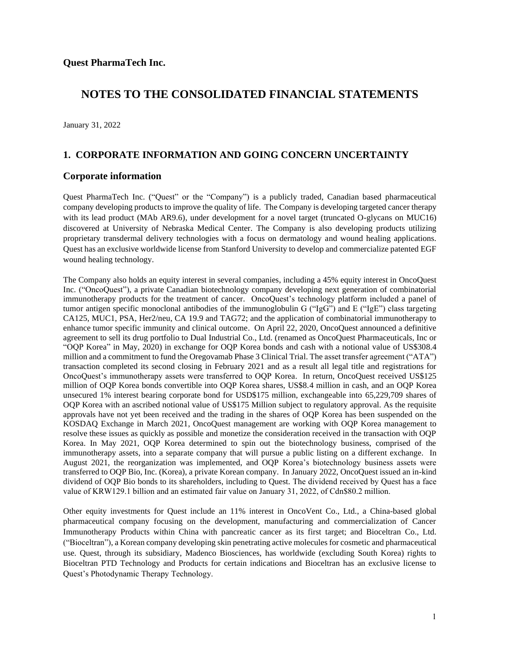January 31, 2022

### **1. CORPORATE INFORMATION AND GOING CONCERN UNCERTAINTY**

#### **Corporate information**

Quest PharmaTech Inc. ("Quest" or the "Company") is a publicly traded, Canadian based pharmaceutical company developing products to improve the quality of life. The Company is developing targeted cancer therapy with its lead product (MAb AR9.6), under development for a novel target (truncated O-glycans on MUC16) discovered at University of Nebraska Medical Center. The Company is also developing products utilizing proprietary transdermal delivery technologies with a focus on dermatology and wound healing applications. Quest has an exclusive worldwide license from Stanford University to develop and commercialize patented EGF wound healing technology.

The Company also holds an equity interest in several companies, including a 45% equity interest in OncoQuest Inc. ("OncoQuest"), a private Canadian biotechnology company developing next generation of combinatorial immunotherapy products for the treatment of cancer. OncoQuest's technology platform included a panel of tumor antigen specific monoclonal antibodies of the immunoglobulin G ("IgG") and E ("IgE") class targeting CA125, MUC1, PSA, Her2/neu, CA 19.9 and TAG72; and the application of combinatorial immunotherapy to enhance tumor specific immunity and clinical outcome. On April 22, 2020, OncoQuest announced a definitive agreement to sell its drug portfolio to Dual Industrial Co., Ltd. (renamed as OncoQuest Pharmaceuticals, Inc or "OQP Korea" in May, 2020) in exchange for OQP Korea bonds and cash with a notional value of US\$308.4 million and a commitment to fund the Oregovamab Phase 3 Clinical Trial. The asset transfer agreement ("ATA") transaction completed its second closing in February 2021 and as a result all legal title and registrations for OncoQuest's immunotherapy assets were transferred to OQP Korea. In return, OncoQuest received US\$125 million of OQP Korea bonds convertible into OQP Korea shares, US\$8.4 million in cash, and an OQP Korea unsecured 1% interest bearing corporate bond for USD\$175 million, exchangeable into 65,229,709 shares of OQP Korea with an ascribed notional value of US\$175 Million subject to regulatory approval. As the requisite approvals have not yet been received and the trading in the shares of OQP Korea has been suspended on the KOSDAQ Exchange in March 2021, OncoQuest management are working with OQP Korea management to resolve these issues as quickly as possible and monetize the consideration received in the transaction with OQP Korea. In May 2021, OQP Korea determined to spin out the biotechnology business, comprised of the immunotherapy assets, into a separate company that will pursue a public listing on a different exchange. In August 2021, the reorganization was implemented, and OQP Korea's biotechnology business assets were transferred to OQP Bio, Inc. (Korea), a private Korean company. In January 2022, OncoQuest issued an in-kind dividend of OQP Bio bonds to its shareholders, including to Quest. The dividend received by Quest has a face value of KRW129.1 billion and an estimated fair value on January 31, 2022, of Cdn\$80.2 million.

Other equity investments for Quest include an 11% interest in OncoVent Co., Ltd., a China-based global pharmaceutical company focusing on the development, manufacturing and commercialization of Cancer Immunotherapy Products within China with pancreatic cancer as its first target; and Bioceltran Co., Ltd. ("Bioceltran"), a Korean company developing skin penetrating active molecules for cosmetic and pharmaceutical use. Quest, through its subsidiary, Madenco Biosciences, has worldwide (excluding South Korea) rights to Bioceltran PTD Technology and Products for certain indications and Bioceltran has an exclusive license to Quest's Photodynamic Therapy Technology.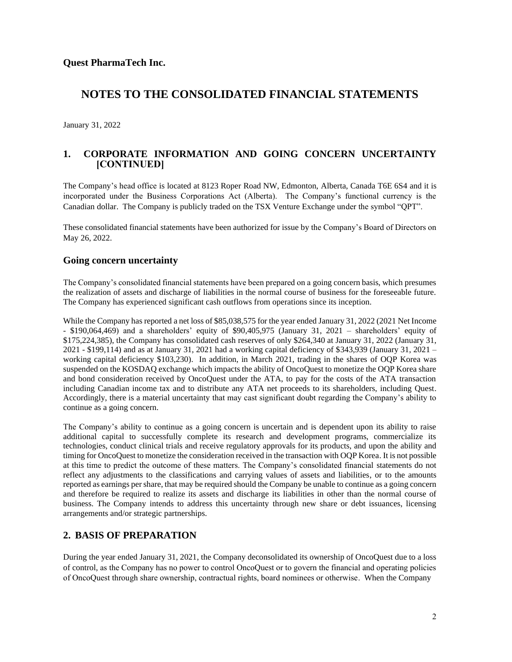January 31, 2022

### **1. CORPORATE INFORMATION AND GOING CONCERN UNCERTAINTY [CONTINUED]**

The Company's head office is located at 8123 Roper Road NW, Edmonton, Alberta, Canada T6E 6S4 and it is incorporated under the Business Corporations Act (Alberta). The Company's functional currency is the Canadian dollar. The Company is publicly traded on the TSX Venture Exchange under the symbol "QPT".

These consolidated financial statements have been authorized for issue by the Company's Board of Directors on May 26, 2022.

### **Going concern uncertainty**

The Company's consolidated financial statements have been prepared on a going concern basis, which presumes the realization of assets and discharge of liabilities in the normal course of business for the foreseeable future. The Company has experienced significant cash outflows from operations since its inception.

While the Company has reported a net loss of \$85,038,575 for the year ended January 31, 2022 (2021 Net Income - \$190,064,469) and a shareholders' equity of \$90,405,975 (January 31, 2021 – shareholders' equity of \$175,224,385), the Company has consolidated cash reserves of only \$264,340 at January 31, 2022 (January 31, 2021 - \$199,114) and as at January 31, 2021 had a working capital deficiency of \$343,939 (January 31, 2021 – working capital deficiency \$103,230). In addition, in March 2021, trading in the shares of OQP Korea was suspended on the KOSDAQ exchange which impacts the ability of OncoQuest to monetize the OQP Korea share and bond consideration received by OncoQuest under the ATA, to pay for the costs of the ATA transaction including Canadian income tax and to distribute any ATA net proceeds to its shareholders, including Quest. Accordingly, there is a material uncertainty that may cast significant doubt regarding the Company's ability to continue as a going concern.

The Company's ability to continue as a going concern is uncertain and is dependent upon its ability to raise additional capital to successfully complete its research and development programs, commercialize its technologies, conduct clinical trials and receive regulatory approvals for its products, and upon the ability and timing for OncoQuest to monetize the consideration received in the transaction with OQP Korea. It is not possible at this time to predict the outcome of these matters. The Company's consolidated financial statements do not reflect any adjustments to the classifications and carrying values of assets and liabilities, or to the amounts reported as earnings per share, that may be required should the Company be unable to continue as a going concern and therefore be required to realize its assets and discharge its liabilities in other than the normal course of business. The Company intends to address this uncertainty through new share or debt issuances, licensing arrangements and/or strategic partnerships.

### **2. BASIS OF PREPARATION**

During the year ended January 31, 2021, the Company deconsolidated its ownership of OncoQuest due to a loss of control, as the Company has no power to control OncoQuest or to govern the financial and operating policies of OncoQuest through share ownership, contractual rights, board nominees or otherwise. When the Company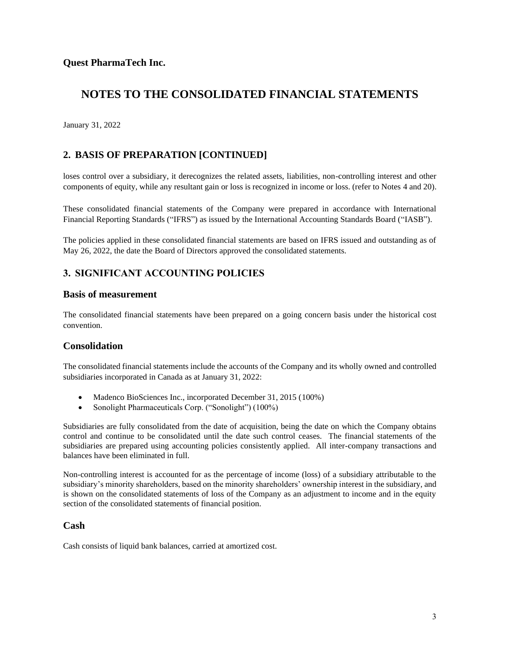January 31, 2022

### **2. BASIS OF PREPARATION [CONTINUED]**

loses control over a subsidiary, it derecognizes the related assets, liabilities, non-controlling interest and other components of equity, while any resultant gain or loss is recognized in income or loss. (refer to Notes 4 and 20).

These consolidated financial statements of the Company were prepared in accordance with International Financial Reporting Standards ("IFRS") as issued by the International Accounting Standards Board ("IASB").

The policies applied in these consolidated financial statements are based on IFRS issued and outstanding as of May 26, 2022, the date the Board of Directors approved the consolidated statements.

### **3. SIGNIFICANT ACCOUNTING POLICIES**

#### **Basis of measurement**

The consolidated financial statements have been prepared on a going concern basis under the historical cost convention.

### **Consolidation**

The consolidated financial statements include the accounts of the Company and its wholly owned and controlled subsidiaries incorporated in Canada as at January 31, 2022:

- Madenco BioSciences Inc., incorporated December 31, 2015 (100%)
- Sonolight Pharmaceuticals Corp. ("Sonolight") (100%)

Subsidiaries are fully consolidated from the date of acquisition, being the date on which the Company obtains control and continue to be consolidated until the date such control ceases. The financial statements of the subsidiaries are prepared using accounting policies consistently applied. All inter-company transactions and balances have been eliminated in full.

Non-controlling interest is accounted for as the percentage of income (loss) of a subsidiary attributable to the subsidiary's minority shareholders, based on the minority shareholders' ownership interest in the subsidiary, and is shown on the consolidated statements of loss of the Company as an adjustment to income and in the equity section of the consolidated statements of financial position.

### **Cash**

Cash consists of liquid bank balances, carried at amortized cost.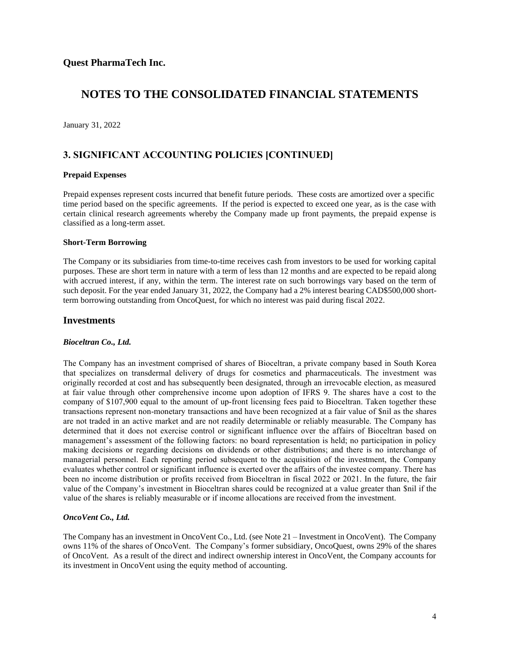January 31, 2022

### **3. SIGNIFICANT ACCOUNTING POLICIES [CONTINUED]**

#### **Prepaid Expenses**

Prepaid expenses represent costs incurred that benefit future periods. These costs are amortized over a specific time period based on the specific agreements. If the period is expected to exceed one year, as is the case with certain clinical research agreements whereby the Company made up front payments, the prepaid expense is classified as a long-term asset.

#### **Short-Term Borrowing**

The Company or its subsidiaries from time-to-time receives cash from investors to be used for working capital purposes. These are short term in nature with a term of less than 12 months and are expected to be repaid along with accrued interest, if any, within the term. The interest rate on such borrowings vary based on the term of such deposit. For the year ended January 31, 2022, the Company had a 2% interest bearing CAD\$500,000 shortterm borrowing outstanding from OncoQuest, for which no interest was paid during fiscal 2022.

#### **Investments**

#### *Bioceltran Co., Ltd.*

The Company has an investment comprised of shares of Bioceltran, a private company based in South Korea that specializes on transdermal delivery of drugs for cosmetics and pharmaceuticals. The investment was originally recorded at cost and has subsequently been designated, through an irrevocable election, as measured at fair value through other comprehensive income upon adoption of IFRS 9. The shares have a cost to the company of \$107,900 equal to the amount of up-front licensing fees paid to Bioceltran. Taken together these transactions represent non-monetary transactions and have been recognized at a fair value of \$nil as the shares are not traded in an active market and are not readily determinable or reliably measurable. The Company has determined that it does not exercise control or significant influence over the affairs of Bioceltran based on management's assessment of the following factors: no board representation is held; no participation in policy making decisions or regarding decisions on dividends or other distributions; and there is no interchange of managerial personnel. Each reporting period subsequent to the acquisition of the investment, the Company evaluates whether control or significant influence is exerted over the affairs of the investee company. There has been no income distribution or profits received from Bioceltran in fiscal 2022 or 2021. In the future, the fair value of the Company's investment in Bioceltran shares could be recognized at a value greater than \$nil if the value of the shares is reliably measurable or if income allocations are received from the investment.

#### *OncoVent Co., Ltd.*

The Company has an investment in OncoVent Co., Ltd. (see Note 21 – Investment in OncoVent). The Company owns 11% of the shares of OncoVent. The Company's former subsidiary, OncoQuest, owns 29% of the shares of OncoVent. As a result of the direct and indirect ownership interest in OncoVent, the Company accounts for its investment in OncoVent using the equity method of accounting.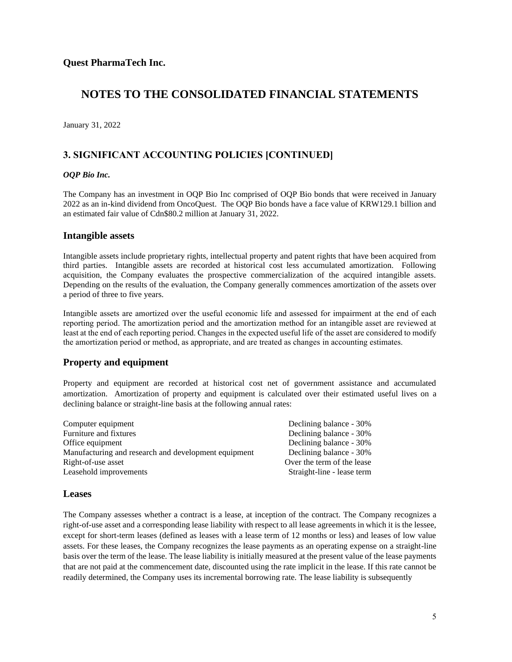January 31, 2022

### **3. SIGNIFICANT ACCOUNTING POLICIES [CONTINUED]**

#### *OQP Bio Inc.*

The Company has an investment in OQP Bio Inc comprised of OQP Bio bonds that were received in January 2022 as an in-kind dividend from OncoQuest. The OQP Bio bonds have a face value of KRW129.1 billion and an estimated fair value of Cdn\$80.2 million at January 31, 2022.

### **Intangible assets**

Intangible assets include proprietary rights, intellectual property and patent rights that have been acquired from third parties. Intangible assets are recorded at historical cost less accumulated amortization. Following acquisition, the Company evaluates the prospective commercialization of the acquired intangible assets. Depending on the results of the evaluation, the Company generally commences amortization of the assets over a period of three to five years.

Intangible assets are amortized over the useful economic life and assessed for impairment at the end of each reporting period. The amortization period and the amortization method for an intangible asset are reviewed at least at the end of each reporting period. Changes in the expected useful life of the asset are considered to modify the amortization period or method, as appropriate, and are treated as changes in accounting estimates.

### **Property and equipment**

Property and equipment are recorded at historical cost net of government assistance and accumulated amortization. Amortization of property and equipment is calculated over their estimated useful lives on a declining balance or straight-line basis at the following annual rates:

| Computer equipment                                   | Declining balance - 30%    |
|------------------------------------------------------|----------------------------|
| Furniture and fixtures                               | Declining balance - 30%    |
| Office equipment                                     | Declining balance - 30%    |
| Manufacturing and research and development equipment | Declining balance - 30%    |
| Right-of-use asset                                   | Over the term of the lease |
| Leasehold improvements                               | Straight-line - lease term |
|                                                      |                            |

### **Leases**

The Company assesses whether a contract is a lease, at inception of the contract. The Company recognizes a right-of-use asset and a corresponding lease liability with respect to all lease agreements in which it is the lessee, except for short-term leases (defined as leases with a lease term of 12 months or less) and leases of low value assets. For these leases, the Company recognizes the lease payments as an operating expense on a straight-line basis over the term of the lease. The lease liability is initially measured at the present value of the lease payments that are not paid at the commencement date, discounted using the rate implicit in the lease. If this rate cannot be readily determined, the Company uses its incremental borrowing rate. The lease liability is subsequently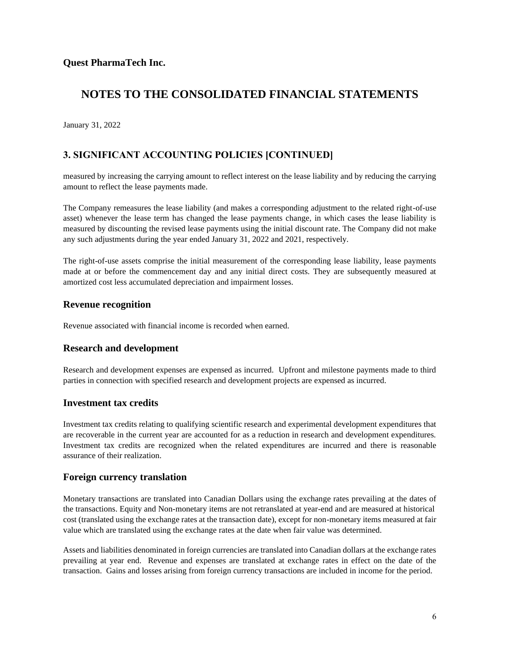January 31, 2022

## **3. SIGNIFICANT ACCOUNTING POLICIES [CONTINUED]**

measured by increasing the carrying amount to reflect interest on the lease liability and by reducing the carrying amount to reflect the lease payments made.

The Company remeasures the lease liability (and makes a corresponding adjustment to the related right-of-use asset) whenever the lease term has changed the lease payments change, in which cases the lease liability is measured by discounting the revised lease payments using the initial discount rate. The Company did not make any such adjustments during the year ended January 31, 2022 and 2021, respectively.

The right-of-use assets comprise the initial measurement of the corresponding lease liability, lease payments made at or before the commencement day and any initial direct costs. They are subsequently measured at amortized cost less accumulated depreciation and impairment losses.

### **Revenue recognition**

Revenue associated with financial income is recorded when earned.

### **Research and development**

Research and development expenses are expensed as incurred. Upfront and milestone payments made to third parties in connection with specified research and development projects are expensed as incurred.

### **Investment tax credits**

Investment tax credits relating to qualifying scientific research and experimental development expenditures that are recoverable in the current year are accounted for as a reduction in research and development expenditures. Investment tax credits are recognized when the related expenditures are incurred and there is reasonable assurance of their realization.

### **Foreign currency translation**

Monetary transactions are translated into Canadian Dollars using the exchange rates prevailing at the dates of the transactions. Equity and Non-monetary items are not retranslated at year-end and are measured at historical cost (translated using the exchange rates at the transaction date), except for non-monetary items measured at fair value which are translated using the exchange rates at the date when fair value was determined.

Assets and liabilities denominated in foreign currencies are translated into Canadian dollars at the exchange rates prevailing at year end. Revenue and expenses are translated at exchange rates in effect on the date of the transaction. Gains and losses arising from foreign currency transactions are included in income for the period.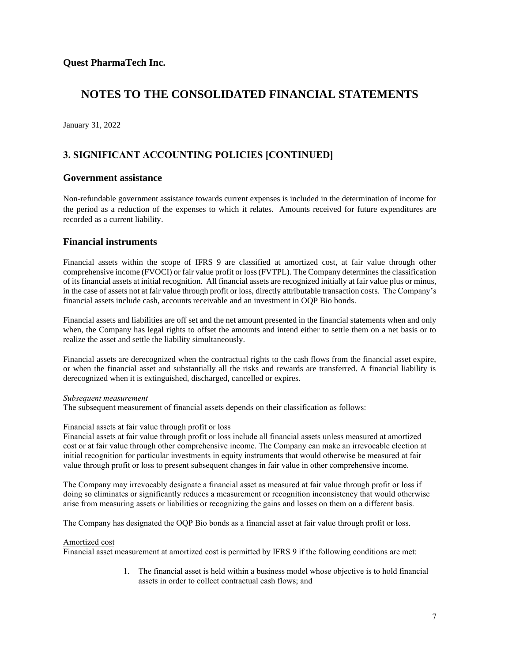January 31, 2022

# **3. SIGNIFICANT ACCOUNTING POLICIES [CONTINUED]**

### **Government assistance**

Non-refundable government assistance towards current expenses is included in the determination of income for the period as a reduction of the expenses to which it relates. Amounts received for future expenditures are recorded as a current liability.

### **Financial instruments**

Financial assets within the scope of IFRS 9 are classified at amortized cost, at fair value through other comprehensive income (FVOCI) or fair value profit or loss (FVTPL). The Company determines the classification of its financial assets at initial recognition. All financial assets are recognized initially at fair value plus or minus, in the case of assets not at fair value through profit or loss, directly attributable transaction costs. The Company's financial assets include cash, accounts receivable and an investment in OQP Bio bonds.

Financial assets and liabilities are off set and the net amount presented in the financial statements when and only when, the Company has legal rights to offset the amounts and intend either to settle them on a net basis or to realize the asset and settle the liability simultaneously.

Financial assets are derecognized when the contractual rights to the cash flows from the financial asset expire, or when the financial asset and substantially all the risks and rewards are transferred. A financial liability is derecognized when it is extinguished, discharged, cancelled or expires.

#### *Subsequent measurement*

The subsequent measurement of financial assets depends on their classification as follows:

#### Financial assets at fair value through profit or loss

Financial assets at fair value through profit or loss include all financial assets unless measured at amortized cost or at fair value through other comprehensive income. The Company can make an irrevocable election at initial recognition for particular investments in equity instruments that would otherwise be measured at fair value through profit or loss to present subsequent changes in fair value in other comprehensive income.

The Company may irrevocably designate a financial asset as measured at fair value through profit or loss if doing so eliminates or significantly reduces a measurement or recognition inconsistency that would otherwise arise from measuring assets or liabilities or recognizing the gains and losses on them on a different basis.

The Company has designated the OQP Bio bonds as a financial asset at fair value through profit or loss.

#### Amortized cost

Financial asset measurement at amortized cost is permitted by IFRS 9 if the following conditions are met:

1. The financial asset is held within a business model whose objective is to hold financial assets in order to collect contractual cash flows; and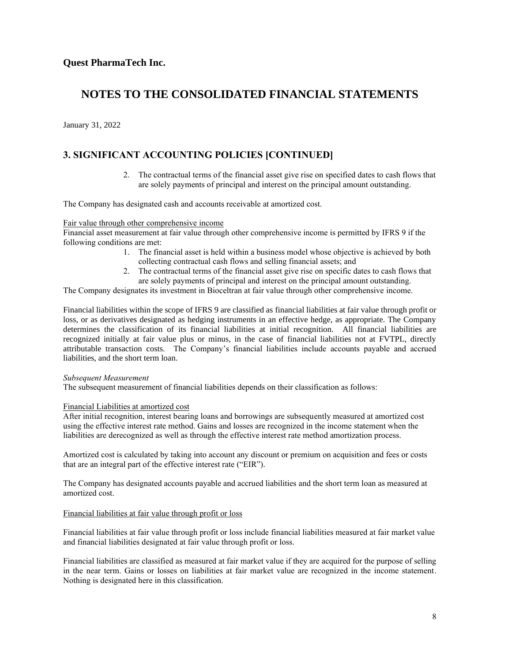January 31, 2022

### **3. SIGNIFICANT ACCOUNTING POLICIES [CONTINUED]**

2. The contractual terms of the financial asset give rise on specified dates to cash flows that are solely payments of principal and interest on the principal amount outstanding.

The Company has designated cash and accounts receivable at amortized cost.

#### Fair value through other comprehensive income

Financial asset measurement at fair value through other comprehensive income is permitted by IFRS 9 if the following conditions are met:

- 1. The financial asset is held within a business model whose objective is achieved by both collecting contractual cash flows and selling financial assets; and
- 2. The contractual terms of the financial asset give rise on specific dates to cash flows that are solely payments of principal and interest on the principal amount outstanding.

The Company designates its investment in Bioceltran at fair value through other comprehensive income.

Financial liabilities within the scope of IFRS 9 are classified as financial liabilities at fair value through profit or loss, or as derivatives designated as hedging instruments in an effective hedge, as appropriate. The Company determines the classification of its financial liabilities at initial recognition. All financial liabilities are recognized initially at fair value plus or minus, in the case of financial liabilities not at FVTPL, directly attributable transaction costs. The Company's financial liabilities include accounts payable and accrued liabilities, and the short term loan.

#### *Subsequent Measurement*

The subsequent measurement of financial liabilities depends on their classification as follows:

#### Financial Liabilities at amortized cost

After initial recognition, interest bearing loans and borrowings are subsequently measured at amortized cost using the effective interest rate method. Gains and losses are recognized in the income statement when the liabilities are derecognized as well as through the effective interest rate method amortization process.

Amortized cost is calculated by taking into account any discount or premium on acquisition and fees or costs that are an integral part of the effective interest rate ("EIR").

The Company has designated accounts payable and accrued liabilities and the short term loan as measured at amortized cost.

#### Financial liabilities at fair value through profit or loss

Financial liabilities at fair value through profit or loss include financial liabilities measured at fair market value and financial liabilities designated at fair value through profit or loss.

Financial liabilities are classified as measured at fair market value if they are acquired for the purpose of selling in the near term. Gains or losses on liabilities at fair market value are recognized in the income statement. Nothing is designated here in this classification.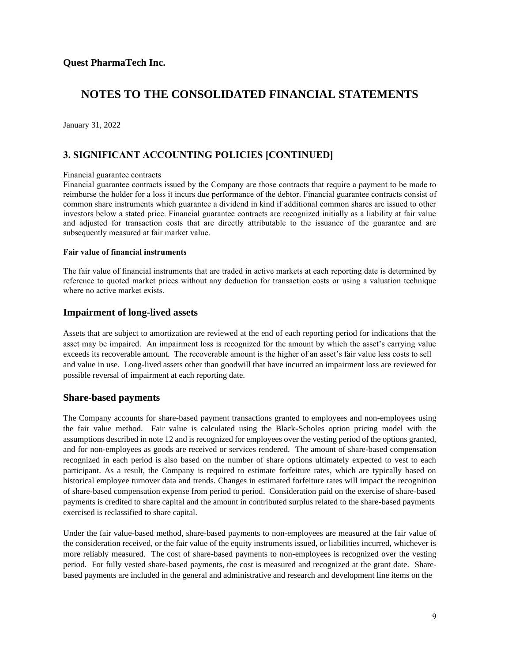January 31, 2022

### **3. SIGNIFICANT ACCOUNTING POLICIES [CONTINUED]**

#### Financial guarantee contracts

Financial guarantee contracts issued by the Company are those contracts that require a payment to be made to reimburse the holder for a loss it incurs due performance of the debtor. Financial guarantee contracts consist of common share instruments which guarantee a dividend in kind if additional common shares are issued to other investors below a stated price. Financial guarantee contracts are recognized initially as a liability at fair value and adjusted for transaction costs that are directly attributable to the issuance of the guarantee and are subsequently measured at fair market value.

#### **Fair value of financial instruments**

The fair value of financial instruments that are traded in active markets at each reporting date is determined by reference to quoted market prices without any deduction for transaction costs or using a valuation technique where no active market exists.

### **Impairment of long-lived assets**

Assets that are subject to amortization are reviewed at the end of each reporting period for indications that the asset may be impaired. An impairment loss is recognized for the amount by which the asset's carrying value exceeds its recoverable amount. The recoverable amount is the higher of an asset's fair value less costs to sell and value in use. Long-lived assets other than goodwill that have incurred an impairment loss are reviewed for possible reversal of impairment at each reporting date.

### **Share-based payments**

The Company accounts for share-based payment transactions granted to employees and non-employees using the fair value method. Fair value is calculated using the Black-Scholes option pricing model with the assumptions described in note 12 and is recognized for employees over the vesting period of the options granted, and for non-employees as goods are received or services rendered. The amount of share-based compensation recognized in each period is also based on the number of share options ultimately expected to vest to each participant. As a result, the Company is required to estimate forfeiture rates, which are typically based on historical employee turnover data and trends. Changes in estimated forfeiture rates will impact the recognition of share-based compensation expense from period to period. Consideration paid on the exercise of share-based payments is credited to share capital and the amount in contributed surplus related to the share-based payments exercised is reclassified to share capital.

Under the fair value-based method, share-based payments to non-employees are measured at the fair value of the consideration received, or the fair value of the equity instruments issued, or liabilities incurred, whichever is more reliably measured. The cost of share-based payments to non-employees is recognized over the vesting period. For fully vested share-based payments, the cost is measured and recognized at the grant date. Sharebased payments are included in the general and administrative and research and development line items on the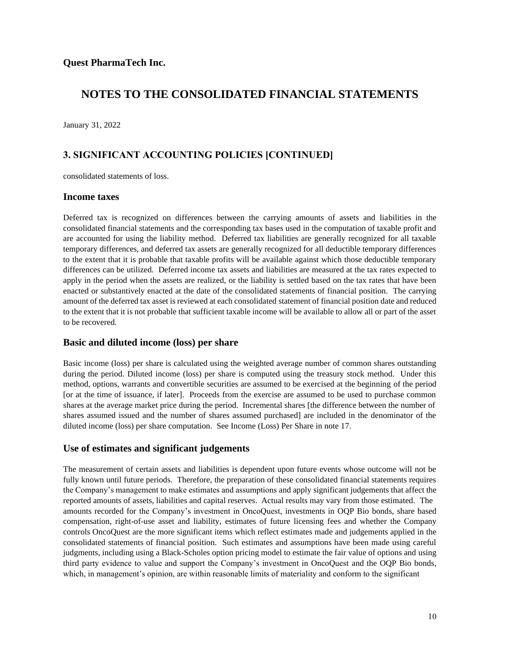January 31, 2022

## **3. SIGNIFICANT ACCOUNTING POLICIES [CONTINUED]**

consolidated statements of loss.

#### **Income taxes**

Deferred tax is recognized on differences between the carrying amounts of assets and liabilities in the consolidated financial statements and the corresponding tax bases used in the computation of taxable profit and are accounted for using the liability method. Deferred tax liabilities are generally recognized for all taxable temporary differences, and deferred tax assets are generally recognized for all deductible temporary differences to the extent that it is probable that taxable profits will be available against which those deductible temporary differences can be utilized. Deferred income tax assets and liabilities are measured at the tax rates expected to apply in the period when the assets are realized, or the liability is settled based on the tax rates that have been enacted or substantively enacted at the date of the consolidated statements of financial position. The carrying amount of the deferred tax asset is reviewed at each consolidated statement of financial position date and reduced to the extent that it is not probable that sufficient taxable income will be available to allow all or part of the asset to be recovered.

### **Basic and diluted income (loss) per share**

Basic income (loss) per share is calculated using the weighted average number of common shares outstanding during the period. Diluted income (loss) per share is computed using the treasury stock method. Under this method, options, warrants and convertible securities are assumed to be exercised at the beginning of the period [or at the time of issuance, if later]. Proceeds from the exercise are assumed to be used to purchase common shares at the average market price during the period. Incremental shares [the difference between the number of shares assumed issued and the number of shares assumed purchased] are included in the denominator of the diluted income (loss) per share computation. See Income (Loss) Per Share in note 17.

### **Use of estimates and significant judgements**

The measurement of certain assets and liabilities is dependent upon future events whose outcome will not be fully known until future periods. Therefore, the preparation of these consolidated financial statements requires the Company's management to make estimates and assumptions and apply significant judgements that affect the reported amounts of assets, liabilities and capital reserves. Actual results may vary from those estimated. The amounts recorded for the Company's investment in OncoQuest, investments in OQP Bio bonds, share based compensation, right-of-use asset and liability, estimates of future licensing fees and whether the Company controls OncoQuest are the more significant items which reflect estimates made and judgements applied in the consolidated statements of financial position. Such estimates and assumptions have been made using careful judgments, including using a Black-Scholes option pricing model to estimate the fair value of options and using third party evidence to value and support the Company's investment in OncoQuest and the OQP Bio bonds, which, in management's opinion, are within reasonable limits of materiality and conform to the significant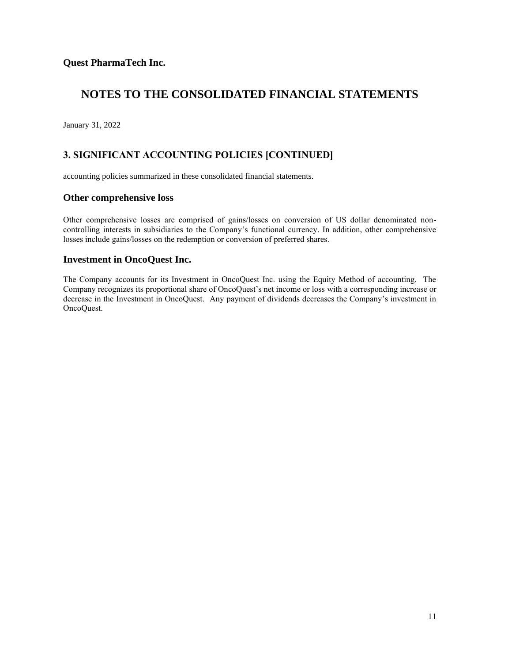January 31, 2022

# **3. SIGNIFICANT ACCOUNTING POLICIES [CONTINUED]**

accounting policies summarized in these consolidated financial statements.

### **Other comprehensive loss**

Other comprehensive losses are comprised of gains/losses on conversion of US dollar denominated noncontrolling interests in subsidiaries to the Company's functional currency. In addition, other comprehensive losses include gains/losses on the redemption or conversion of preferred shares.

### **Investment in OncoQuest Inc.**

The Company accounts for its Investment in OncoQuest Inc. using the Equity Method of accounting. The Company recognizes its proportional share of OncoQuest's net income or loss with a corresponding increase or decrease in the Investment in OncoQuest. Any payment of dividends decreases the Company's investment in OncoQuest.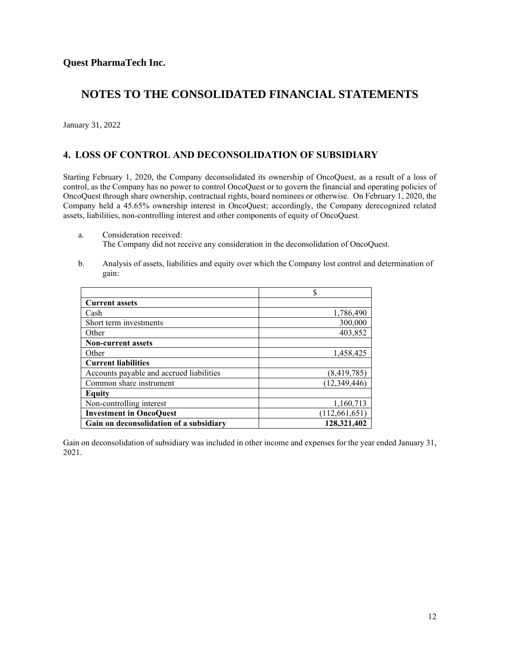January 31, 2022

### **4. LOSS OF CONTROL AND DECONSOLIDATION OF SUBSIDIARY**

Starting February 1, 2020, the Company deconsolidated its ownership of OncoQuest, as a result of a loss of control, as the Company has no power to control OncoQuest or to govern the financial and operating policies of OncoQuest through share ownership, contractual rights, board nominees or otherwise. On February 1, 2020, the Company held a 45.65% ownership interest in OncoQuest; accordingly, the Company derecognized related assets, liabilities, non-controlling interest and other components of equity of OncoQuest.

- a. Consideration received: The Company did not receive any consideration in the deconsolidation of OncoQuest.
- b. Analysis of assets, liabilities and equity over which the Company lost control and determination of gain:

|                                          | \$              |
|------------------------------------------|-----------------|
| <b>Current assets</b>                    |                 |
| Cash                                     | 1,786,490       |
| Short term investments                   | 300,000         |
| Other                                    | 403,852         |
| <b>Non-current assets</b>                |                 |
| Other                                    | 1,458,425       |
| <b>Current liabilities</b>               |                 |
| Accounts payable and accrued liabilities | (8, 419, 785)   |
| Common share instrument                  | (12, 349, 446)  |
| Equity                                   |                 |
| Non-controlling interest                 | 1,160,713       |
| <b>Investment in OncoOuest</b>           | (112, 661, 651) |
| Gain on deconsolidation of a subsidiary  | 128,321,402     |

Gain on deconsolidation of subsidiary was included in other income and expenses for the year ended January 31, 2021.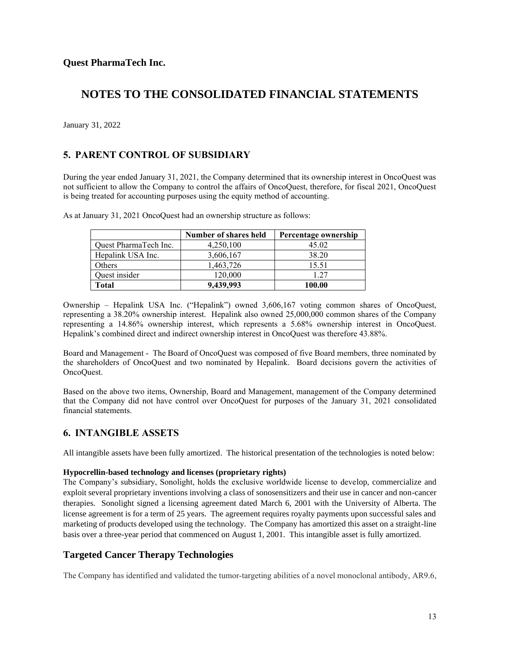January 31, 2022

### **5. PARENT CONTROL OF SUBSIDIARY**

During the year ended January 31, 2021, the Company determined that its ownership interest in OncoQuest was not sufficient to allow the Company to control the affairs of OncoQuest, therefore, for fiscal 2021, OncoQuest is being treated for accounting purposes using the equity method of accounting.

|                       | Number of shares held | Percentage ownership |
|-----------------------|-----------------------|----------------------|
| Quest PharmaTech Inc. | 4,250,100             | 45.02                |
| Hepalink USA Inc.     | 3,606,167             | 38.20                |
| Others                | 1,463,726             | 15.51                |
| Quest insider         | 120,000               | 1.27                 |
| Total                 | 9,439,993             | 100.00               |

As at January 31, 2021 OncoQuest had an ownership structure as follows:

Ownership – Hepalink USA Inc. ("Hepalink") owned 3,606,167 voting common shares of OncoQuest, representing a 38.20% ownership interest. Hepalink also owned 25,000,000 common shares of the Company representing a 14.86% ownership interest, which represents a 5.68% ownership interest in OncoQuest. Hepalink's combined direct and indirect ownership interest in OncoQuest was therefore 43.88%.

Board and Management - The Board of OncoQuest was composed of five Board members, three nominated by the shareholders of OncoQuest and two nominated by Hepalink. Board decisions govern the activities of OncoQuest.

Based on the above two items, Ownership, Board and Management, management of the Company determined that the Company did not have control over OncoQuest for purposes of the January 31, 2021 consolidated financial statements.

### **6. INTANGIBLE ASSETS**

All intangible assets have been fully amortized. The historical presentation of the technologies is noted below:

#### **Hypocrellin-based technology and licenses (proprietary rights)**

The Company's subsidiary, Sonolight, holds the exclusive worldwide license to develop, commercialize and exploit several proprietary inventions involving a class of sonosensitizers and their use in cancer and non-cancer therapies. Sonolight signed a licensing agreement dated March 6, 2001 with the University of Alberta. The license agreement is for a term of 25 years. The agreement requires royalty payments upon successful sales and marketing of products developed using the technology. The Company has amortized this asset on a straight-line basis over a three-year period that commenced on August 1, 2001. This intangible asset is fully amortized.

### **Targeted Cancer Therapy Technologies**

The Company has identified and validated the tumor-targeting abilities of a novel monoclonal antibody, AR9.6,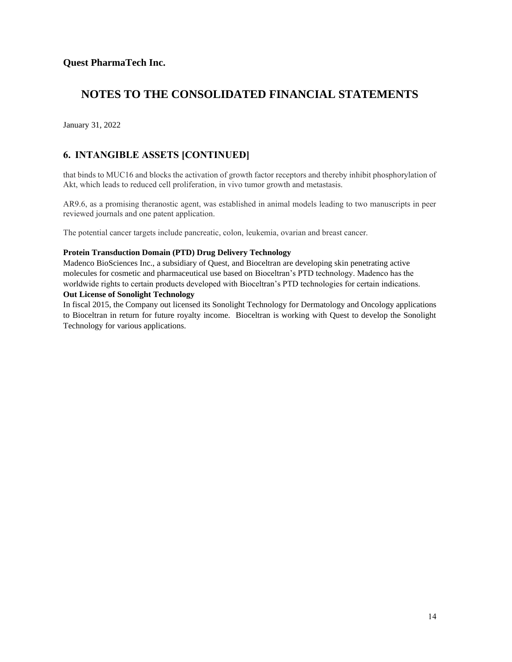January 31, 2022

## **6. INTANGIBLE ASSETS [CONTINUED]**

that binds to MUC16 and blocks the activation of growth factor receptors and thereby inhibit phosphorylation of Akt, which leads to reduced cell proliferation, in vivo tumor growth and metastasis.

AR9.6, as a promising theranostic agent, was established in animal models leading to two manuscripts in peer reviewed journals and one patent application.

The potential cancer targets include pancreatic, colon, leukemia, ovarian and breast cancer.

#### **Protein Transduction Domain (PTD) Drug Delivery Technology**

Madenco BioSciences Inc., a subsidiary of Quest, and Bioceltran are developing skin penetrating active molecules for cosmetic and pharmaceutical use based on Bioceltran's PTD technology. Madenco has the worldwide rights to certain products developed with Bioceltran's PTD technologies for certain indications.

#### **Out License of Sonolight Technology**

In fiscal 2015, the Company out licensed its Sonolight Technology for Dermatology and Oncology applications to Bioceltran in return for future royalty income. Bioceltran is working with Quest to develop the Sonolight Technology for various applications.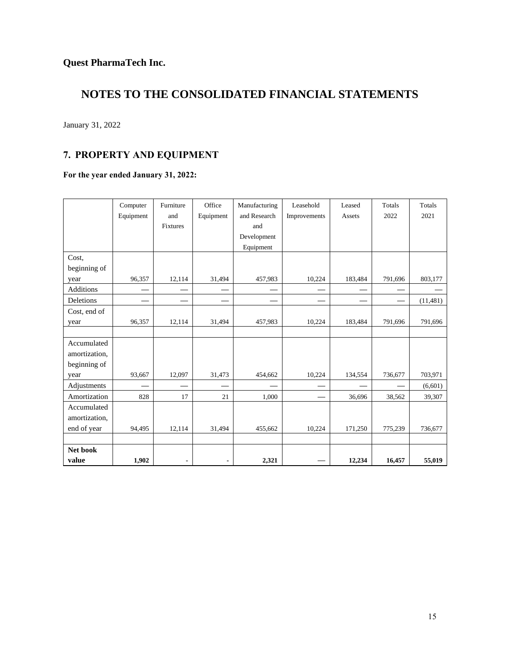January 31, 2022

# **7. PROPERTY AND EQUIPMENT**

### **For the year ended January 31, 2022:**

|               | Computer  | Furniture      | Office         | Manufacturing | Leasehold    | Leased  | Totals  | Totals    |
|---------------|-----------|----------------|----------------|---------------|--------------|---------|---------|-----------|
|               | Equipment | and            | Equipment      | and Research  | Improvements | Assets  | 2022    | 2021      |
|               |           | Fixtures       |                | and           |              |         |         |           |
|               |           |                |                | Development   |              |         |         |           |
|               |           |                |                | Equipment     |              |         |         |           |
| Cost.         |           |                |                |               |              |         |         |           |
| beginning of  |           |                |                |               |              |         |         |           |
| year          | 96,357    | 12,114         | 31,494         | 457,983       | 10,224       | 183,484 | 791,696 | 803,177   |
| Additions     |           |                |                |               |              |         |         |           |
| Deletions     |           |                |                |               |              |         |         | (11, 481) |
| Cost, end of  |           |                |                |               |              |         |         |           |
| year          | 96,357    | 12,114         | 31,494         | 457,983       | 10,224       | 183,484 | 791,696 | 791,696   |
|               |           |                |                |               |              |         |         |           |
| Accumulated   |           |                |                |               |              |         |         |           |
| amortization, |           |                |                |               |              |         |         |           |
| beginning of  |           |                |                |               |              |         |         |           |
| year          | 93,667    | 12,097         | 31,473         | 454,662       | 10,224       | 134,554 | 736,677 | 703,971   |
| Adjustments   |           |                |                |               |              |         |         | (6,601)   |
| Amortization  | 828       | 17             | 21             | 1,000         |              | 36,696  | 38,562  | 39,307    |
| Accumulated   |           |                |                |               |              |         |         |           |
| amortization, |           |                |                |               |              |         |         |           |
| end of year   | 94,495    | 12,114         | 31,494         | 455,662       | 10,224       | 171,250 | 775,239 | 736,677   |
|               |           |                |                |               |              |         |         |           |
| Net book      |           |                |                |               |              |         |         |           |
| value         | 1,902     | $\blacksquare$ | $\blacksquare$ | 2,321         |              | 12,234  | 16,457  | 55,019    |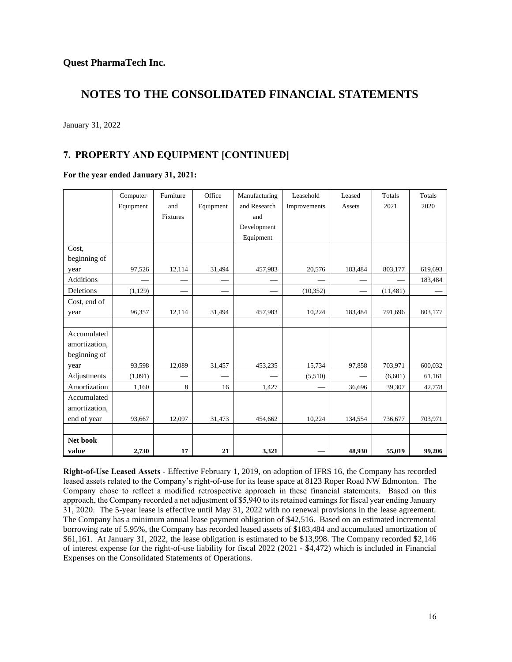January 31, 2022

## **7. PROPERTY AND EQUIPMENT [CONTINUED]**

#### **For the year ended January 31, 2021:**

|               | Computer  | Furniture | Office    | Manufacturing | Leasehold    | Leased  | Totals    | <b>Totals</b> |
|---------------|-----------|-----------|-----------|---------------|--------------|---------|-----------|---------------|
|               | Equipment | and       | Equipment | and Research  | Improvements | Assets  | 2021      | 2020          |
|               |           | Fixtures  |           | and           |              |         |           |               |
|               |           |           |           | Development   |              |         |           |               |
|               |           |           |           | Equipment     |              |         |           |               |
| Cost.         |           |           |           |               |              |         |           |               |
| beginning of  |           |           |           |               |              |         |           |               |
| year          | 97,526    | 12,114    | 31,494    | 457,983       | 20,576       | 183,484 | 803,177   | 619,693       |
| Additions     |           |           |           |               |              |         |           | 183,484       |
| Deletions     | (1,129)   |           |           |               | (10, 352)    |         | (11, 481) |               |
| Cost, end of  |           |           |           |               |              |         |           |               |
| year          | 96,357    | 12,114    | 31,494    | 457,983       | 10,224       | 183,484 | 791,696   | 803,177       |
|               |           |           |           |               |              |         |           |               |
| Accumulated   |           |           |           |               |              |         |           |               |
| amortization, |           |           |           |               |              |         |           |               |
| beginning of  |           |           |           |               |              |         |           |               |
| year          | 93,598    | 12,089    | 31,457    | 453,235       | 15,734       | 97,858  | 703,971   | 600,032       |
| Adjustments   | (1,091)   |           |           |               | (5,510)      |         | (6,601)   | 61,161        |
| Amortization  | 1,160     | 8         | 16        | 1,427         |              | 36,696  | 39,307    | 42,778        |
| Accumulated   |           |           |           |               |              |         |           |               |
| amortization, |           |           |           |               |              |         |           |               |
| end of year   | 93,667    | 12,097    | 31,473    | 454,662       | 10,224       | 134,554 | 736,677   | 703,971       |
|               |           |           |           |               |              |         |           |               |
| Net book      |           |           |           |               |              |         |           |               |
| value         | 2,730     | 17        | 21        | 3,321         |              | 48,930  | 55,019    | 99,206        |

**Right-of-Use Leased Assets** - Effective February 1, 2019, on adoption of IFRS 16, the Company has recorded leased assets related to the Company's right-of-use for its lease space at 8123 Roper Road NW Edmonton. The Company chose to reflect a modified retrospective approach in these financial statements. Based on this approach, the Company recorded a net adjustment of \$5,940 to its retained earnings for fiscal year ending January 31, 2020. The 5-year lease is effective until May 31, 2022 with no renewal provisions in the lease agreement. The Company has a minimum annual lease payment obligation of \$42,516. Based on an estimated incremental borrowing rate of 5.95%, the Company has recorded leased assets of \$183,484 and accumulated amortization of \$61,161. At January 31, 2022, the lease obligation is estimated to be \$13,998. The Company recorded \$2,146 of interest expense for the right-of-use liability for fiscal 2022 (2021 - \$4,472) which is included in Financial Expenses on the Consolidated Statements of Operations.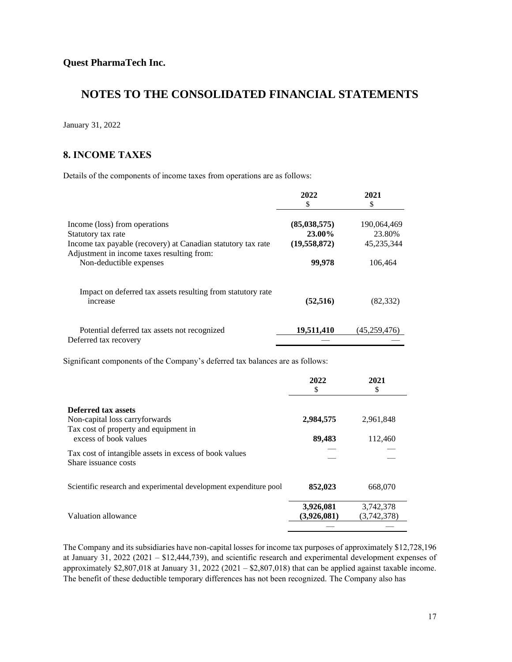January 31, 2022

### **8. INCOME TAXES**

Details of the components of income taxes from operations are as follows:

|                                                              | 2022           | 2021         |
|--------------------------------------------------------------|----------------|--------------|
|                                                              | S              | \$           |
| Income (loss) from operations                                | (85,038,575)   | 190,064,469  |
| Statutory tax rate                                           | 23.00%         | 23.80%       |
| Income tax payable (recovery) at Canadian statutory tax rate | (19, 558, 872) | 45,235,344   |
| Adjustment in income taxes resulting from:                   |                |              |
| Non-deductible expenses                                      | 99,978         | 106.464      |
| Impact on deferred tax assets resulting from statutory rate  | (52, 516)      | (82, 332)    |
| increase                                                     |                |              |
| Potential deferred tax assets not recognized                 | 19,511,410     | (45,259,476) |
| Deferred tax recovery                                        |                |              |

Significant components of the Company's deferred tax balances are as follows:

|                                                                                 | 2022<br>S                | 2021<br>\$               |
|---------------------------------------------------------------------------------|--------------------------|--------------------------|
| Deferred tax assets                                                             |                          |                          |
| Non-capital loss carryforwards<br>Tax cost of property and equipment in         | 2,984,575                | 2,961,848                |
| excess of book values<br>Tax cost of intangible assets in excess of book values | 89,483                   | 112,460                  |
| Share issuance costs                                                            |                          |                          |
| Scientific research and experimental development expenditure pool               | 852,023                  | 668,070                  |
| Valuation allowance                                                             | 3,926,081<br>(3,926,081) | 3,742,378<br>(3,742,378) |
|                                                                                 |                          |                          |

The Company and its subsidiaries have non-capital losses for income tax purposes of approximately \$12,728,196 at January 31, 2022 (2021 – \$12,444,739), and scientific research and experimental development expenses of approximately \$2,807,018 at January 31, 2022 (2021 – \$2,807,018) that can be applied against taxable income. The benefit of these deductible temporary differences has not been recognized. The Company also has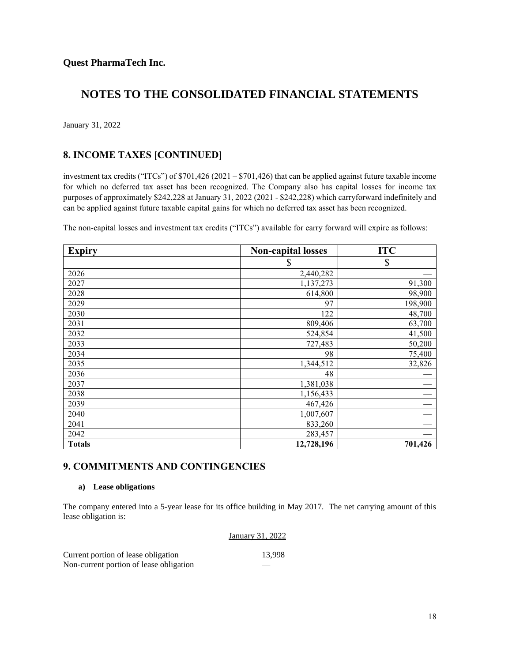January 31, 2022

### **8. INCOME TAXES [CONTINUED]**

investment tax credits ("ITCs") of \$701,426 (2021 – \$701,426) that can be applied against future taxable income for which no deferred tax asset has been recognized. The Company also has capital losses for income tax purposes of approximately \$242,228 at January 31, 2022 (2021 - \$242,228) which carryforward indefinitely and can be applied against future taxable capital gains for which no deferred tax asset has been recognized.

The non-capital losses and investment tax credits ("ITCs") available for carry forward will expire as follows:

| <b>Expiry</b> | <b>Non-capital losses</b> | <b>ITC</b> |
|---------------|---------------------------|------------|
|               | S                         | \$         |
| 2026          | 2,440,282                 |            |
| 2027          | 1,137,273                 | 91,300     |
| 2028          | 614,800                   | 98,900     |
| 2029          | 97                        | 198,900    |
| 2030          | 122                       | 48,700     |
| 2031          | 809,406                   | 63,700     |
| 2032          | 524,854                   | 41,500     |
| 2033          | 727,483                   | 50,200     |
| 2034          | 98                        | 75,400     |
| 2035          | 1,344,512                 | 32,826     |
| 2036          | 48                        |            |
| 2037          | 1,381,038                 |            |
| 2038          | 1,156,433                 |            |
| 2039          | 467,426                   |            |
| 2040          | 1,007,607                 |            |
| 2041          | 833,260                   |            |
| 2042          | 283,457                   |            |
| <b>Totals</b> | 12,728,196                | 701,426    |

### **9. COMMITMENTS AND CONTINGENCIES**

#### **a) Lease obligations**

The company entered into a 5-year lease for its office building in May 2017. The net carrying amount of this lease obligation is:

#### January 31, 2022

| Current portion of lease obligation     | 13.998 |
|-----------------------------------------|--------|
| Non-current portion of lease obligation | _____  |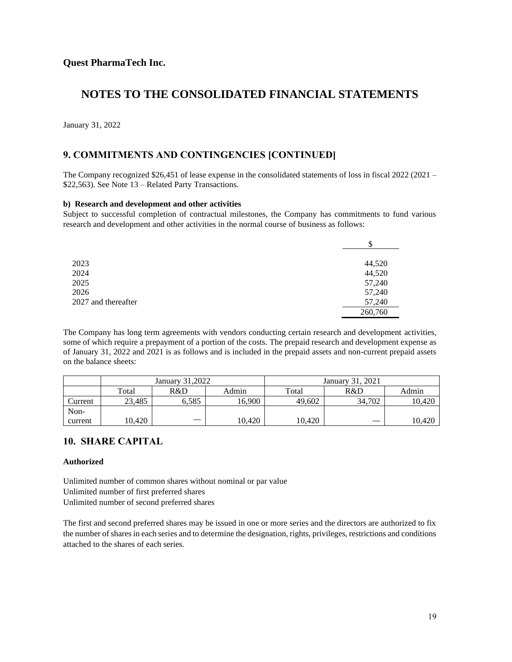January 31, 2022

### **9. COMMITMENTS AND CONTINGENCIES [CONTINUED]**

The Company recognized \$26,451 of lease expense in the consolidated statements of loss in fiscal 2022 (2021 – \$22,563). See Note 13 – Related Party Transactions.

#### **b) Research and development and other activities**

Subject to successful completion of contractual milestones, the Company has commitments to fund various research and development and other activities in the normal course of business as follows:

|                     | \$      |
|---------------------|---------|
| 2023                | 44,520  |
| 2024                | 44,520  |
| 2025                | 57,240  |
| 2026                | 57,240  |
| 2027 and thereafter | 57,240  |
|                     | 260,760 |

The Company has long term agreements with vendors conducting certain research and development activities, some of which require a prepayment of a portion of the costs. The prepaid research and development expense as of January 31, 2022 and 2021 is as follows and is included in the prepaid assets and non-current prepaid assets on the balance sheets:

|         |        | January 31.2022 |        |        | January 31, 2021 |        |
|---------|--------|-----------------|--------|--------|------------------|--------|
|         | Total  | R&D             | Admin  | Total  | R&D              | Admin  |
| Current | 23.485 | 6.585           | 16,900 | 49.602 | 34.702           | 10.420 |
| Non-    |        |                 |        |        |                  |        |
| current | 10.420 |                 | 10.420 | 10,420 |                  | 10.420 |

### **10. SHARE CAPITAL**

#### **Authorized**

Unlimited number of common shares without nominal or par value Unlimited number of first preferred shares Unlimited number of second preferred shares

The first and second preferred shares may be issued in one or more series and the directors are authorized to fix the number of shares in each series and to determine the designation, rights, privileges, restrictions and conditions attached to the shares of each series.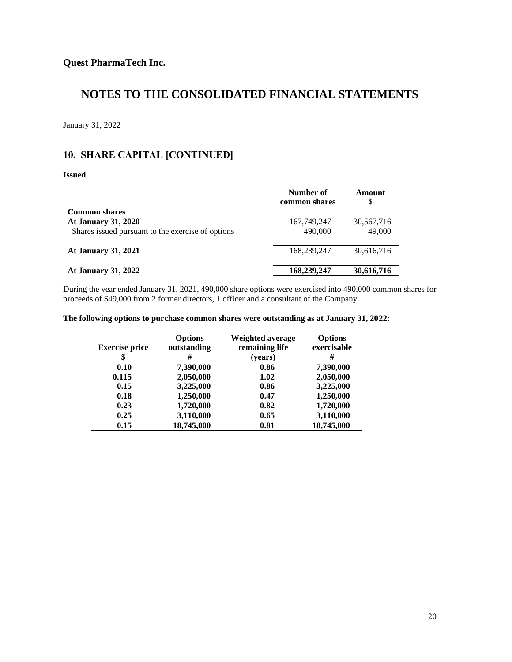January 31, 2022

### **10. SHARE CAPITAL [CONTINUED]**

#### **Issued**

|                                                   | Number of<br>common shares | Amount<br>S |
|---------------------------------------------------|----------------------------|-------------|
| <b>Common shares</b>                              |                            |             |
| <b>At January 31, 2020</b>                        | 167, 749, 247              | 30,567,716  |
| Shares issued pursuant to the exercise of options | 490,000                    | 49,000      |
| <b>At January 31, 2021</b>                        | 168,239,247                | 30,616,716  |
| <b>At January 31, 2022</b>                        | 168,239,247                | 30,616,716  |

During the year ended January 31, 2021, 490,000 share options were exercised into 490,000 common shares for proceeds of \$49,000 from 2 former directors, 1 officer and a consultant of the Company.

#### **The following options to purchase common shares were outstanding as at January 31, 2022:**

| <b>Exercise price</b> | <b>Options</b><br>outstanding<br># | Weighted average<br>remaining life<br>(years) | <b>Options</b><br>exercisable<br># |
|-----------------------|------------------------------------|-----------------------------------------------|------------------------------------|
| 0.10                  | 7,390,000                          | 0.86                                          | 7,390,000                          |
| 0.115                 | 2,050,000                          | 1.02                                          | 2,050,000                          |
| 0.15                  | 3,225,000                          | 0.86                                          | 3,225,000                          |
| 0.18                  | 1,250,000                          | 0.47                                          | 1,250,000                          |
| 0.23                  | 1,720,000                          | 0.82                                          | 1,720,000                          |
| 0.25                  | 3,110,000                          | 0.65                                          | 3,110,000                          |
| 0.15                  | 18,745,000                         | 0.81                                          | 18,745,000                         |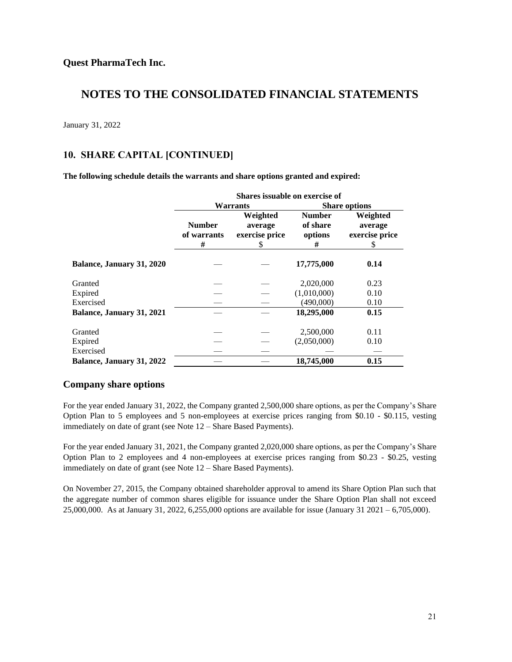January 31, 2022

### **10. SHARE CAPITAL [CONTINUED]**

**The following schedule details the warrants and share options granted and expired:**

|                           | Shares issuable on exercise of    |                                            |                                           |                                            |
|---------------------------|-----------------------------------|--------------------------------------------|-------------------------------------------|--------------------------------------------|
|                           |                                   | Warrants                                   |                                           | <b>Share options</b>                       |
|                           | <b>Number</b><br>of warrants<br># | Weighted<br>average<br>exercise price<br>S | <b>Number</b><br>of share<br>options<br># | Weighted<br>average<br>exercise price<br>S |
| Balance, January 31, 2020 |                                   |                                            | 17,775,000                                | 0.14                                       |
| Granted                   |                                   |                                            | 2,020,000                                 | 0.23                                       |
| Expired                   |                                   |                                            | (1,010,000)                               | 0.10                                       |
| Exercised                 |                                   |                                            | (490,000)                                 | 0.10                                       |
| Balance, January 31, 2021 |                                   |                                            | 18,295,000                                | 0.15                                       |
| Granted                   |                                   |                                            | 2,500,000                                 | 0.11                                       |
| Expired                   |                                   |                                            | (2,050,000)                               | 0.10                                       |
| Exercised                 |                                   |                                            |                                           |                                            |
| Balance, January 31, 2022 |                                   |                                            | 18,745,000                                | 0.15                                       |

### **Company share options**

For the year ended January 31, 2022, the Company granted 2,500,000 share options, as per the Company's Share Option Plan to 5 employees and 5 non-employees at exercise prices ranging from \$0.10 - \$0.115, vesting immediately on date of grant (see Note 12 – Share Based Payments).

For the year ended January 31, 2021, the Company granted 2,020,000 share options, as per the Company's Share Option Plan to 2 employees and 4 non-employees at exercise prices ranging from \$0.23 - \$0.25, vesting immediately on date of grant (see Note 12 – Share Based Payments).

On November 27, 2015, the Company obtained shareholder approval to amend its Share Option Plan such that the aggregate number of common shares eligible for issuance under the Share Option Plan shall not exceed 25,000,000. As at January 31, 2022, 6,255,000 options are available for issue (January 31 2021 – 6,705,000).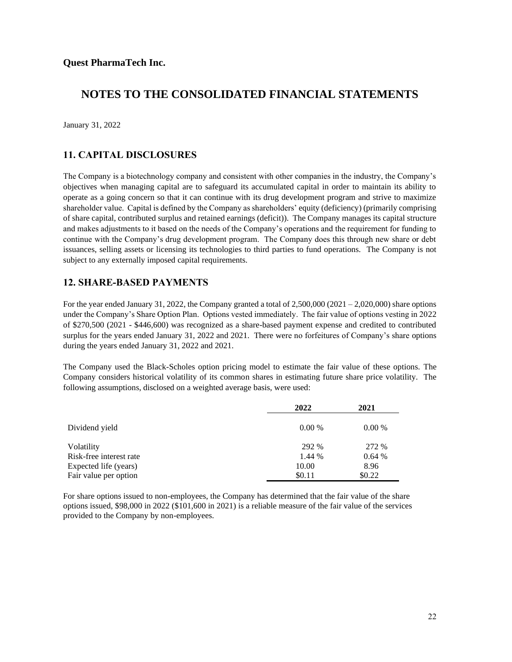January 31, 2022

### **11. CAPITAL DISCLOSURES**

The Company is a biotechnology company and consistent with other companies in the industry, the Company's objectives when managing capital are to safeguard its accumulated capital in order to maintain its ability to operate as a going concern so that it can continue with its drug development program and strive to maximize shareholder value. Capital is defined by the Company as shareholders' equity (deficiency) (primarily comprising of share capital, contributed surplus and retained earnings (deficit)). The Company manages its capital structure and makes adjustments to it based on the needs of the Company's operations and the requirement for funding to continue with the Company's drug development program. The Company does this through new share or debt issuances, selling assets or licensing its technologies to third parties to fund operations. The Company is not subject to any externally imposed capital requirements.

### **12. SHARE-BASED PAYMENTS**

For the year ended January 31, 2022, the Company granted a total of 2,500,000 (2021 – 2,020,000) share options under the Company's Share Option Plan. Options vested immediately. The fair value of options vesting in 2022 of \$270,500 (2021 - \$446,600) was recognized as a share-based payment expense and credited to contributed surplus for the years ended January 31, 2022 and 2021. There were no forfeitures of Company's share options during the years ended January 31, 2022 and 2021.

The Company used the Black-Scholes option pricing model to estimate the fair value of these options. The Company considers historical volatility of its common shares in estimating future share price volatility. The following assumptions, disclosed on a weighted average basis, were used:

|                         | 2022   | 2021   |
|-------------------------|--------|--------|
| Dividend yield          | 0.00%  | 0.00%  |
| Volatility              | 292 %  | 272 %  |
| Risk-free interest rate | 1.44 % | 0.64%  |
| Expected life (years)   | 10.00  | 8.96   |
| Fair value per option   | \$0.11 | \$0.22 |

For share options issued to non-employees, the Company has determined that the fair value of the share options issued, \$98,000 in 2022 (\$101,600 in 2021) is a reliable measure of the fair value of the services provided to the Company by non-employees.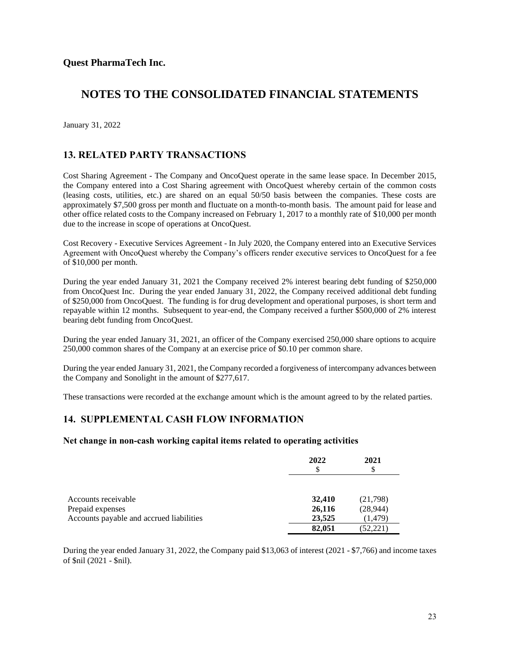January 31, 2022

### **13. RELATED PARTY TRANSACTIONS**

Cost Sharing Agreement - The Company and OncoQuest operate in the same lease space. In December 2015, the Company entered into a Cost Sharing agreement with OncoQuest whereby certain of the common costs (leasing costs, utilities, etc.) are shared on an equal 50/50 basis between the companies. These costs are approximately \$7,500 gross per month and fluctuate on a month-to-month basis. The amount paid for lease and other office related costs to the Company increased on February 1, 2017 to a monthly rate of \$10,000 per month due to the increase in scope of operations at OncoQuest.

Cost Recovery - Executive Services Agreement - In July 2020, the Company entered into an Executive Services Agreement with OncoQuest whereby the Company's officers render executive services to OncoQuest for a fee of \$10,000 per month.

During the year ended January 31, 2021 the Company received 2% interest bearing debt funding of \$250,000 from OncoQuest Inc. During the year ended January 31, 2022, the Company received additional debt funding of \$250,000 from OncoQuest. The funding is for drug development and operational purposes, is short term and repayable within 12 months. Subsequent to year-end, the Company received a further \$500,000 of 2% interest bearing debt funding from OncoQuest.

During the year ended January 31, 2021, an officer of the Company exercised 250,000 share options to acquire 250,000 common shares of the Company at an exercise price of \$0.10 per common share.

During the year ended January 31, 2021, the Company recorded a forgiveness of intercompany advances between the Company and Sonolight in the amount of \$277,617.

These transactions were recorded at the exchange amount which is the amount agreed to by the related parties.

### **14. SUPPLEMENTAL CASH FLOW INFORMATION**

#### **Net change in non-cash working capital items related to operating activities**

|                                          | 2022<br>\$ | 2021<br>\$ |
|------------------------------------------|------------|------------|
|                                          |            |            |
| Accounts receivable                      | 32,410     | (21,798)   |
| Prepaid expenses                         | 26,116     | (28, 944)  |
| Accounts payable and accrued liabilities | 23,525     | (1,479)    |
|                                          | 82,051     | (52, 221)  |

During the year ended January 31, 2022, the Company paid \$13,063 of interest (2021 - \$7,766) and income taxes of \$nil (2021 - \$nil).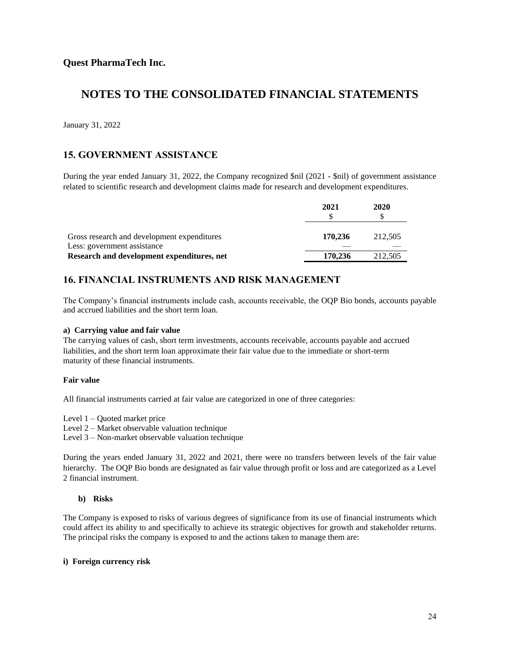January 31, 2022

### **15. GOVERNMENT ASSISTANCE**

During the year ended January 31, 2022, the Company recognized \$nil (2021 - \$nil) of government assistance related to scientific research and development claims made for research and development expenditures.

|                                                                            | 2021    | 2020    |
|----------------------------------------------------------------------------|---------|---------|
| Gross research and development expenditures<br>Less: government assistance | 170.236 | 212.505 |
| Research and development expenditures, net                                 | 170.236 | 212.505 |

### **16. FINANCIAL INSTRUMENTS AND RISK MANAGEMENT**

The Company's financial instruments include cash, accounts receivable, the OQP Bio bonds, accounts payable and accrued liabilities and the short term loan.

#### **a) Carrying value and fair value**

The carrying values of cash, short term investments, accounts receivable, accounts payable and accrued liabilities, and the short term loan approximate their fair value due to the immediate or short-term maturity of these financial instruments.

#### **Fair value**

All financial instruments carried at fair value are categorized in one of three categories:

Level 1 – Quoted market price

Level 2 – Market observable valuation technique

Level 3 – Non-market observable valuation technique

During the years ended January 31, 2022 and 2021, there were no transfers between levels of the fair value hierarchy. The OQP Bio bonds are designated as fair value through profit or loss and are categorized as a Level 2 financial instrument.

#### **b) Risks**

The Company is exposed to risks of various degrees of significance from its use of financial instruments which could affect its ability to and specifically to achieve its strategic objectives for growth and stakeholder returns. The principal risks the company is exposed to and the actions taken to manage them are:

#### **i) Foreign currency risk**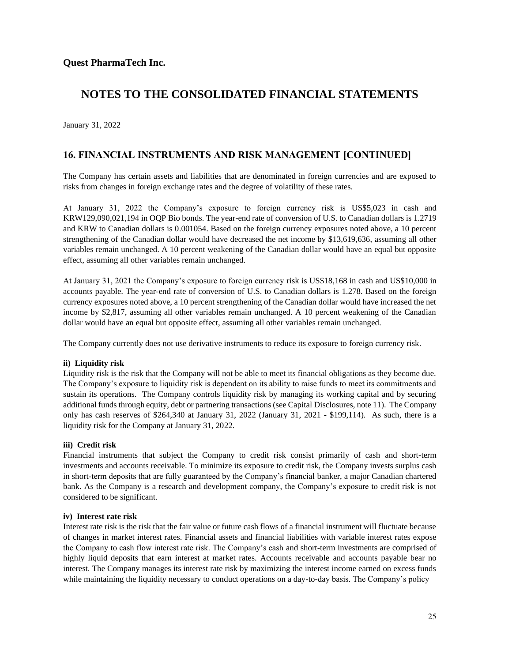January 31, 2022

### **16. FINANCIAL INSTRUMENTS AND RISK MANAGEMENT [CONTINUED]**

The Company has certain assets and liabilities that are denominated in foreign currencies and are exposed to risks from changes in foreign exchange rates and the degree of volatility of these rates.

At January 31, 2022 the Company's exposure to foreign currency risk is US\$5,023 in cash and KRW129,090,021,194 in OQP Bio bonds. The year-end rate of conversion of U.S. to Canadian dollars is 1.2719 and KRW to Canadian dollars is 0.001054. Based on the foreign currency exposures noted above, a 10 percent strengthening of the Canadian dollar would have decreased the net income by \$13,619,636, assuming all other variables remain unchanged. A 10 percent weakening of the Canadian dollar would have an equal but opposite effect, assuming all other variables remain unchanged.

At January 31, 2021 the Company's exposure to foreign currency risk is US\$18,168 in cash and US\$10,000 in accounts payable. The year-end rate of conversion of U.S. to Canadian dollars is 1.278. Based on the foreign currency exposures noted above, a 10 percent strengthening of the Canadian dollar would have increased the net income by \$2,817, assuming all other variables remain unchanged. A 10 percent weakening of the Canadian dollar would have an equal but opposite effect, assuming all other variables remain unchanged.

The Company currently does not use derivative instruments to reduce its exposure to foreign currency risk.

#### **ii) Liquidity risk**

Liquidity risk is the risk that the Company will not be able to meet its financial obligations as they become due. The Company's exposure to liquidity risk is dependent on its ability to raise funds to meet its commitments and sustain its operations. The Company controls liquidity risk by managing its working capital and by securing additional funds through equity, debt or partnering transactions (see Capital Disclosures, note 11). The Company only has cash reserves of \$264,340 at January 31, 2022 (January 31, 2021 - \$199,114). As such, there is a liquidity risk for the Company at January 31, 2022.

#### **iii) Credit risk**

Financial instruments that subject the Company to credit risk consist primarily of cash and short-term investments and accounts receivable. To minimize its exposure to credit risk, the Company invests surplus cash in short-term deposits that are fully guaranteed by the Company's financial banker, a major Canadian chartered bank. As the Company is a research and development company, the Company's exposure to credit risk is not considered to be significant.

#### **iv) Interest rate risk**

Interest rate risk is the risk that the fair value or future cash flows of a financial instrument will fluctuate because of changes in market interest rates. Financial assets and financial liabilities with variable interest rates expose the Company to cash flow interest rate risk. The Company's cash and short-term investments are comprised of highly liquid deposits that earn interest at market rates. Accounts receivable and accounts payable bear no interest. The Company manages its interest rate risk by maximizing the interest income earned on excess funds while maintaining the liquidity necessary to conduct operations on a day-to-day basis. The Company's policy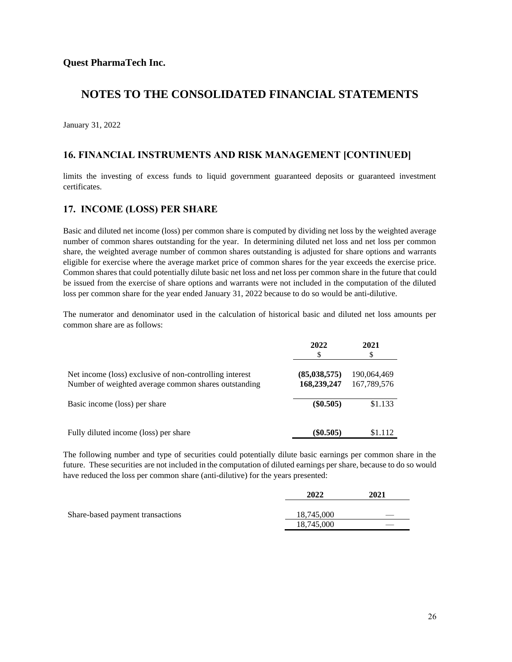January 31, 2022

### **16. FINANCIAL INSTRUMENTS AND RISK MANAGEMENT [CONTINUED]**

limits the investing of excess funds to liquid government guaranteed deposits or guaranteed investment certificates.

### **17. INCOME (LOSS) PER SHARE**

Basic and diluted net income (loss) per common share is computed by dividing net loss by the weighted average number of common shares outstanding for the year. In determining diluted net loss and net loss per common share, the weighted average number of common shares outstanding is adjusted for share options and warrants eligible for exercise where the average market price of common shares for the year exceeds the exercise price. Common shares that could potentially dilute basic net loss and net loss per common share in the future that could be issued from the exercise of share options and warrants were not included in the computation of the diluted loss per common share for the year ended January 31, 2022 because to do so would be anti-dilutive.

The numerator and denominator used in the calculation of historical basic and diluted net loss amounts per common share are as follows:

|                                                                                                                 | 2022<br>\$                    | 2021<br>\$                 |
|-----------------------------------------------------------------------------------------------------------------|-------------------------------|----------------------------|
| Net income (loss) exclusive of non-controlling interest<br>Number of weighted average common shares outstanding | (85, 038, 575)<br>168,239,247 | 190,064,469<br>167,789,576 |
| Basic income (loss) per share                                                                                   | $(\$0.505)$                   | \$1.133                    |
| Fully diluted income (loss) per share                                                                           | $(\$0.505)$                   | \$1.112                    |

The following number and type of securities could potentially dilute basic earnings per common share in the future. These securities are not included in the computation of diluted earnings per share, because to do so would have reduced the loss per common share (anti-dilutive) for the years presented:

|                                  | 2022       | 2021 |
|----------------------------------|------------|------|
| Share-based payment transactions | 18,745,000 |      |
|                                  | 18,745,000 |      |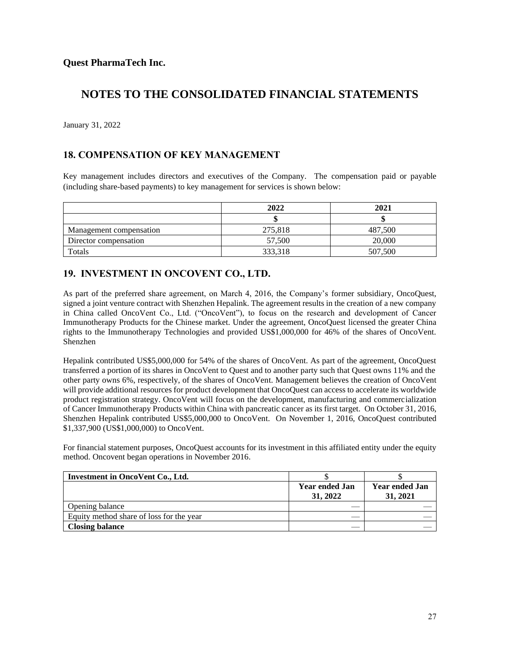January 31, 2022

### **18. COMPENSATION OF KEY MANAGEMENT**

Key management includes directors and executives of the Company. The compensation paid or payable (including share-based payments) to key management for services is shown below:

|                         | 2022    | 2021    |
|-------------------------|---------|---------|
|                         |         |         |
| Management compensation | 275,818 | 487,500 |
| Director compensation   | 57,500  | 20,000  |
| Totals                  | 333,318 | 507,500 |

### **19. INVESTMENT IN ONCOVENT CO., LTD.**

As part of the preferred share agreement, on March 4, 2016, the Company's former subsidiary, OncoQuest, signed a joint venture contract with Shenzhen Hepalink. The agreement results in the creation of a new company in China called OncoVent Co., Ltd. ("OncoVent"), to focus on the research and development of Cancer Immunotherapy Products for the Chinese market. Under the agreement, OncoQuest licensed the greater China rights to the Immunotherapy Technologies and provided US\$1,000,000 for 46% of the shares of OncoVent. Shenzhen

Hepalink contributed US\$5,000,000 for 54% of the shares of OncoVent. As part of the agreement, OncoQuest transferred a portion of its shares in OncoVent to Quest and to another party such that Quest owns 11% and the other party owns 6%, respectively, of the shares of OncoVent. Management believes the creation of OncoVent will provide additional resources for product development that OncoQuest can access to accelerate its worldwide product registration strategy. OncoVent will focus on the development, manufacturing and commercialization of Cancer Immunotherapy Products within China with pancreatic cancer as its first target. On October 31, 2016, Shenzhen Hepalink contributed US\$5,000,000 to OncoVent. On November 1, 2016, OncoQuest contributed \$1,337,900 (US\$1,000,000) to OncoVent.

For financial statement purposes, OncoQuest accounts for its investment in this affiliated entity under the equity method. Oncovent began operations in November 2016.

| <b>Investment in OncoVent Co., Ltd.</b>  |                            |                                   |
|------------------------------------------|----------------------------|-----------------------------------|
|                                          | Year ended Jan<br>31, 2022 | <b>Year ended Jan</b><br>31, 2021 |
| Opening balance                          |                            |                                   |
| Equity method share of loss for the year |                            |                                   |
| <b>Closing balance</b>                   |                            |                                   |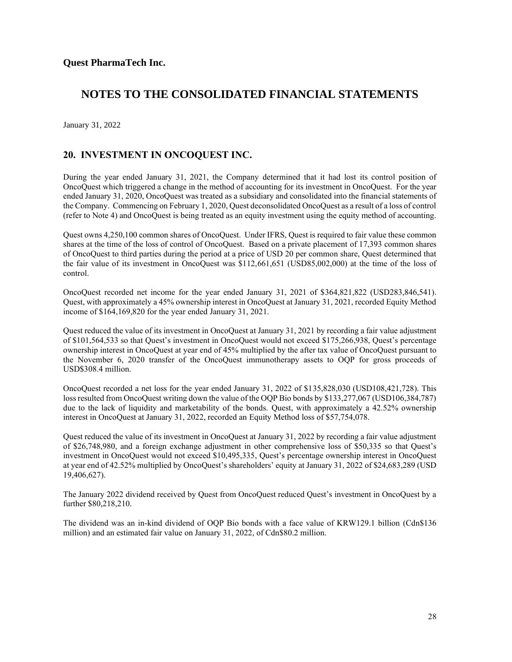January 31, 2022

### **20. INVESTMENT IN ONCOQUEST INC.**

During the year ended January 31, 2021, the Company determined that it had lost its control position of OncoQuest which triggered a change in the method of accounting for its investment in OncoQuest. For the year ended January 31, 2020, OncoQuest was treated as a subsidiary and consolidated into the financial statements of the Company. Commencing on February 1, 2020, Quest deconsolidated OncoQuest as a result of a loss of control (refer to Note 4) and OncoQuest is being treated as an equity investment using the equity method of accounting.

Quest owns 4,250,100 common shares of OncoQuest. Under IFRS, Quest is required to fair value these common shares at the time of the loss of control of OncoQuest. Based on a private placement of 17,393 common shares of OncoQuest to third parties during the period at a price of USD 20 per common share, Quest determined that the fair value of its investment in OncoQuest was \$112,661,651 (USD85,002,000) at the time of the loss of control.

OncoQuest recorded net income for the year ended January 31, 2021 of \$364,821,822 (USD283,846,541). Quest, with approximately a 45% ownership interest in OncoQuest at January 31, 2021, recorded Equity Method income of \$164,169,820 for the year ended January 31, 2021.

Quest reduced the value of its investment in OncoQuest at January 31, 2021 by recording a fair value adjustment of \$101,564,533 so that Quest's investment in OncoQuest would not exceed \$175,266,938, Quest's percentage ownership interest in OncoQuest at year end of 45% multiplied by the after tax value of OncoQuest pursuant to the November 6, 2020 transfer of the OncoQuest immunotherapy assets to OQP for gross proceeds of USD\$308.4 million.

OncoQuest recorded a net loss for the year ended January 31, 2022 of \$135,828,030 (USD108,421,728). This loss resulted from OncoQuest writing down the value of the OQP Bio bonds by \$133,277,067 (USD106,384,787) due to the lack of liquidity and marketability of the bonds. Quest, with approximately a 42.52% ownership interest in OncoQuest at January 31, 2022, recorded an Equity Method loss of \$57,754,078.

Quest reduced the value of its investment in OncoQuest at January 31, 2022 by recording a fair value adjustment of \$26,748,980, and a foreign exchange adjustment in other comprehensive loss of \$50,335 so that Quest's investment in OncoQuest would not exceed \$10,495,335, Quest's percentage ownership interest in OncoQuest at year end of 42.52% multiplied by OncoQuest's shareholders' equity at January 31, 2022 of \$24,683,289 (USD 19,406,627).

The January 2022 dividend received by Quest from OncoQuest reduced Quest's investment in OncoQuest by a further \$80,218,210.

The dividend was an in-kind dividend of OQP Bio bonds with a face value of KRW129.1 billion (Cdn\$136 million) and an estimated fair value on January 31, 2022, of Cdn\$80.2 million.